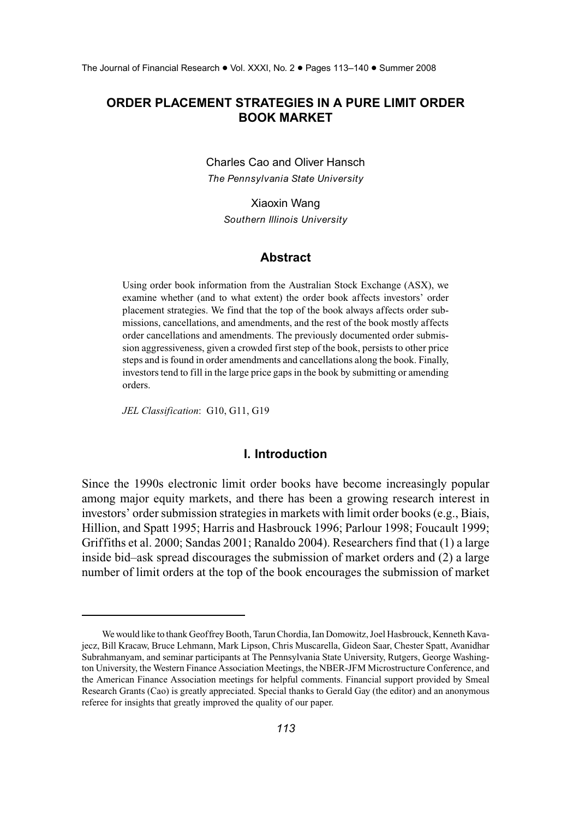# **ORDER PLACEMENT STRATEGIES IN A PURE LIMIT ORDER BOOK MARKET**

Charles Cao and Oliver Hansch *The Pennsylvania State University*

> Xiaoxin Wang *Southern Illinois University*

## **Abstract**

Using order book information from the Australian Stock Exchange (ASX), we examine whether (and to what extent) the order book affects investors' order placement strategies. We find that the top of the book always affects order submissions, cancellations, and amendments, and the rest of the book mostly affects order cancellations and amendments. The previously documented order submission aggressiveness, given a crowded first step of the book, persists to other price steps and is found in order amendments and cancellations along the book. Finally, investors tend to fill in the large price gaps in the book by submitting or amending orders.

*JEL Classification*: G10, G11, G19

# **I. Introduction**

Since the 1990s electronic limit order books have become increasingly popular among major equity markets, and there has been a growing research interest in investors' order submission strategies in markets with limit order books (e.g., Biais, Hillion, and Spatt 1995; Harris and Hasbrouck 1996; Parlour 1998; Foucault 1999; Griffiths et al. 2000; Sandas 2001; Ranaldo 2004). Researchers find that (1) a large inside bid–ask spread discourages the submission of market orders and (2) a large number of limit orders at the top of the book encourages the submission of market

We would like to thank Geoffrey Booth, Tarun Chordia, Ian Domowitz, Joel Hasbrouck, Kenneth Kavajecz, Bill Kracaw, Bruce Lehmann, Mark Lipson, Chris Muscarella, Gideon Saar, Chester Spatt, Avanidhar Subrahmanyam, and seminar participants at The Pennsylvania State University, Rutgers, George Washington University, the Western Finance Association Meetings, the NBER-JFM Microstructure Conference, and the American Finance Association meetings for helpful comments. Financial support provided by Smeal Research Grants (Cao) is greatly appreciated. Special thanks to Gerald Gay (the editor) and an anonymous referee for insights that greatly improved the quality of our paper.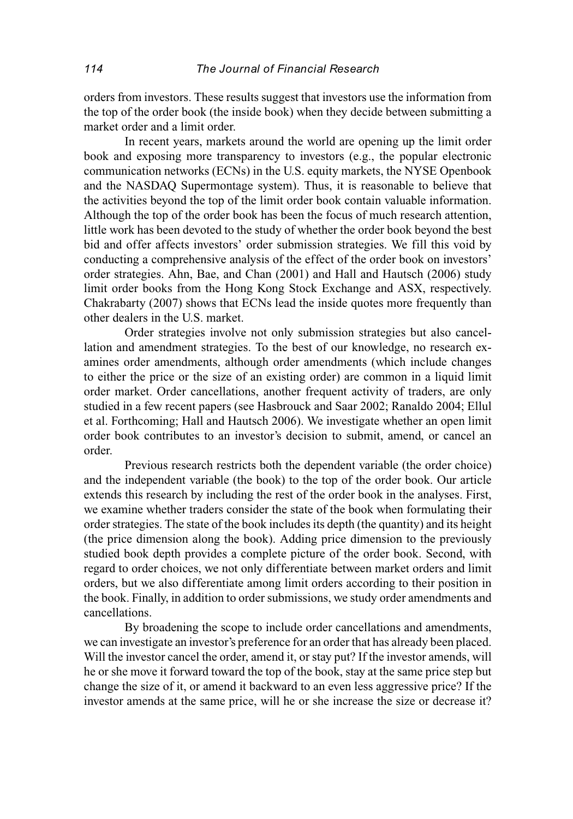orders from investors. These results suggest that investors use the information from the top of the order book (the inside book) when they decide between submitting a market order and a limit order.

In recent years, markets around the world are opening up the limit order book and exposing more transparency to investors (e.g., the popular electronic communication networks (ECNs) in the U.S. equity markets, the NYSE Openbook and the NASDAQ Supermontage system). Thus, it is reasonable to believe that the activities beyond the top of the limit order book contain valuable information. Although the top of the order book has been the focus of much research attention, little work has been devoted to the study of whether the order book beyond the best bid and offer affects investors' order submission strategies. We fill this void by conducting a comprehensive analysis of the effect of the order book on investors' order strategies. Ahn, Bae, and Chan (2001) and Hall and Hautsch (2006) study limit order books from the Hong Kong Stock Exchange and ASX, respectively. Chakrabarty (2007) shows that ECNs lead the inside quotes more frequently than other dealers in the U.S. market.

Order strategies involve not only submission strategies but also cancellation and amendment strategies. To the best of our knowledge, no research examines order amendments, although order amendments (which include changes to either the price or the size of an existing order) are common in a liquid limit order market. Order cancellations, another frequent activity of traders, are only studied in a few recent papers (see Hasbrouck and Saar 2002; Ranaldo 2004; Ellul et al. Forthcoming; Hall and Hautsch 2006). We investigate whether an open limit order book contributes to an investor's decision to submit, amend, or cancel an order.

Previous research restricts both the dependent variable (the order choice) and the independent variable (the book) to the top of the order book. Our article extends this research by including the rest of the order book in the analyses. First, we examine whether traders consider the state of the book when formulating their order strategies. The state of the book includes its depth (the quantity) and its height (the price dimension along the book). Adding price dimension to the previously studied book depth provides a complete picture of the order book. Second, with regard to order choices, we not only differentiate between market orders and limit orders, but we also differentiate among limit orders according to their position in the book. Finally, in addition to order submissions, we study order amendments and cancellations.

By broadening the scope to include order cancellations and amendments, we can investigate an investor's preference for an order that has already been placed. Will the investor cancel the order, amend it, or stay put? If the investor amends, will he or she move it forward toward the top of the book, stay at the same price step but change the size of it, or amend it backward to an even less aggressive price? If the investor amends at the same price, will he or she increase the size or decrease it?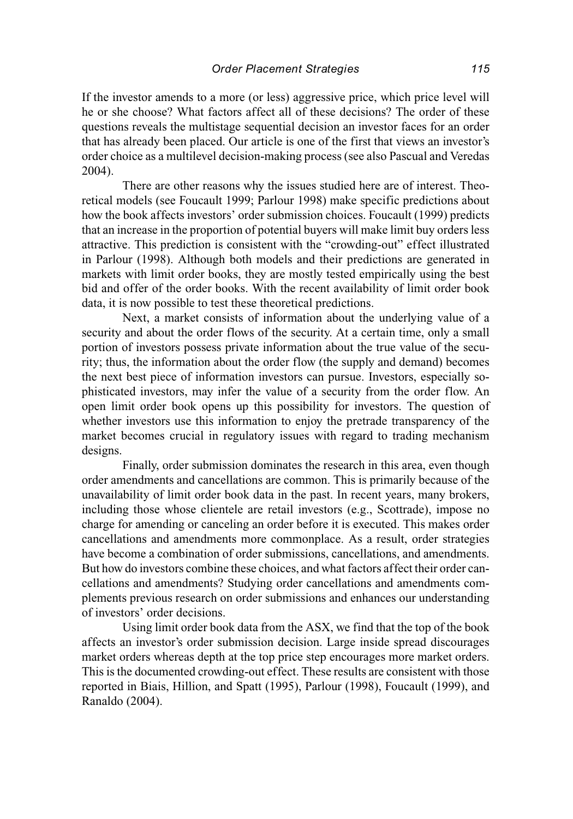If the investor amends to a more (or less) aggressive price, which price level will he or she choose? What factors affect all of these decisions? The order of these questions reveals the multistage sequential decision an investor faces for an order that has already been placed. Our article is one of the first that views an investor's order choice as a multilevel decision-making process (see also Pascual and Veredas 2004).

There are other reasons why the issues studied here are of interest. Theoretical models (see Foucault 1999; Parlour 1998) make specific predictions about how the book affects investors' order submission choices. Foucault (1999) predicts that an increase in the proportion of potential buyers will make limit buy orders less attractive. This prediction is consistent with the "crowding-out" effect illustrated in Parlour (1998). Although both models and their predictions are generated in markets with limit order books, they are mostly tested empirically using the best bid and offer of the order books. With the recent availability of limit order book data, it is now possible to test these theoretical predictions.

Next, a market consists of information about the underlying value of a security and about the order flows of the security. At a certain time, only a small portion of investors possess private information about the true value of the security; thus, the information about the order flow (the supply and demand) becomes the next best piece of information investors can pursue. Investors, especially sophisticated investors, may infer the value of a security from the order flow. An open limit order book opens up this possibility for investors. The question of whether investors use this information to enjoy the pretrade transparency of the market becomes crucial in regulatory issues with regard to trading mechanism designs.

Finally, order submission dominates the research in this area, even though order amendments and cancellations are common. This is primarily because of the unavailability of limit order book data in the past. In recent years, many brokers, including those whose clientele are retail investors (e.g., Scottrade), impose no charge for amending or canceling an order before it is executed. This makes order cancellations and amendments more commonplace. As a result, order strategies have become a combination of order submissions, cancellations, and amendments. But how do investors combine these choices, and what factors affect their order cancellations and amendments? Studying order cancellations and amendments complements previous research on order submissions and enhances our understanding of investors' order decisions.

Using limit order book data from the ASX, we find that the top of the book affects an investor's order submission decision. Large inside spread discourages market orders whereas depth at the top price step encourages more market orders. This is the documented crowding-out effect. These results are consistent with those reported in Biais, Hillion, and Spatt (1995), Parlour (1998), Foucault (1999), and Ranaldo (2004).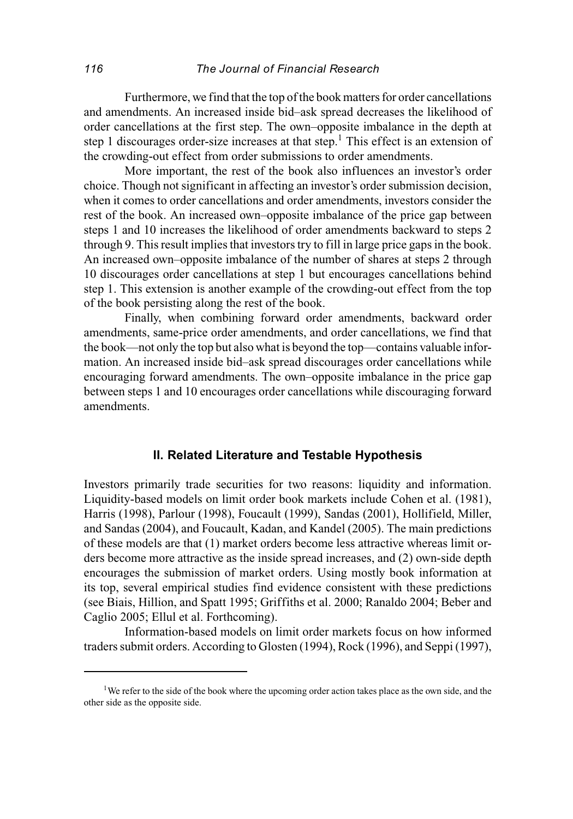Furthermore, we find that the top of the book matters for order cancellations and amendments. An increased inside bid–ask spread decreases the likelihood of order cancellations at the first step. The own–opposite imbalance in the depth at step 1 discourages order-size increases at that step.<sup>1</sup> This effect is an extension of the crowding-out effect from order submissions to order amendments.

More important, the rest of the book also influences an investor's order choice. Though not significant in affecting an investor's order submission decision, when it comes to order cancellations and order amendments, investors consider the rest of the book. An increased own–opposite imbalance of the price gap between steps 1 and 10 increases the likelihood of order amendments backward to steps 2 through 9. This result implies that investors try to fill in large price gaps in the book. An increased own–opposite imbalance of the number of shares at steps 2 through 10 discourages order cancellations at step 1 but encourages cancellations behind step 1. This extension is another example of the crowding-out effect from the top of the book persisting along the rest of the book.

Finally, when combining forward order amendments, backward order amendments, same-price order amendments, and order cancellations, we find that the book—not only the top but also what is beyond the top—contains valuable information. An increased inside bid–ask spread discourages order cancellations while encouraging forward amendments. The own–opposite imbalance in the price gap between steps 1 and 10 encourages order cancellations while discouraging forward amendments.

## **II. Related Literature and Testable Hypothesis**

Investors primarily trade securities for two reasons: liquidity and information. Liquidity-based models on limit order book markets include Cohen et al. (1981), Harris (1998), Parlour (1998), Foucault (1999), Sandas (2001), Hollifield, Miller, and Sandas (2004), and Foucault, Kadan, and Kandel (2005). The main predictions of these models are that (1) market orders become less attractive whereas limit orders become more attractive as the inside spread increases, and (2) own-side depth encourages the submission of market orders. Using mostly book information at its top, several empirical studies find evidence consistent with these predictions (see Biais, Hillion, and Spatt 1995; Griffiths et al. 2000; Ranaldo 2004; Beber and Caglio 2005; Ellul et al. Forthcoming).

Information-based models on limit order markets focus on how informed traders submit orders. According to Glosten (1994), Rock (1996), and Seppi (1997),

<sup>&</sup>lt;sup>1</sup>We refer to the side of the book where the upcoming order action takes place as the own side, and the other side as the opposite side.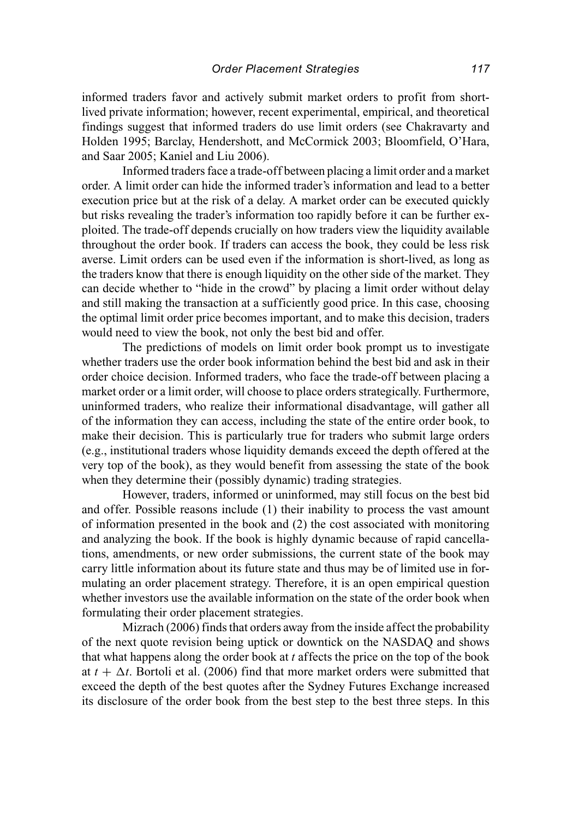informed traders favor and actively submit market orders to profit from shortlived private information; however, recent experimental, empirical, and theoretical findings suggest that informed traders do use limit orders (see Chakravarty and Holden 1995; Barclay, Hendershott, and McCormick 2003; Bloomfield, O'Hara, and Saar 2005; Kaniel and Liu 2006).

Informed traders face a trade-off between placing a limit order and a market order. A limit order can hide the informed trader's information and lead to a better execution price but at the risk of a delay. A market order can be executed quickly but risks revealing the trader's information too rapidly before it can be further exploited. The trade-off depends crucially on how traders view the liquidity available throughout the order book. If traders can access the book, they could be less risk averse. Limit orders can be used even if the information is short-lived, as long as the traders know that there is enough liquidity on the other side of the market. They can decide whether to "hide in the crowd" by placing a limit order without delay and still making the transaction at a sufficiently good price. In this case, choosing the optimal limit order price becomes important, and to make this decision, traders would need to view the book, not only the best bid and offer.

The predictions of models on limit order book prompt us to investigate whether traders use the order book information behind the best bid and ask in their order choice decision. Informed traders, who face the trade-off between placing a market order or a limit order, will choose to place orders strategically. Furthermore, uninformed traders, who realize their informational disadvantage, will gather all of the information they can access, including the state of the entire order book, to make their decision. This is particularly true for traders who submit large orders (e.g., institutional traders whose liquidity demands exceed the depth offered at the very top of the book), as they would benefit from assessing the state of the book when they determine their (possibly dynamic) trading strategies.

However, traders, informed or uninformed, may still focus on the best bid and offer. Possible reasons include (1) their inability to process the vast amount of information presented in the book and (2) the cost associated with monitoring and analyzing the book. If the book is highly dynamic because of rapid cancellations, amendments, or new order submissions, the current state of the book may carry little information about its future state and thus may be of limited use in formulating an order placement strategy. Therefore, it is an open empirical question whether investors use the available information on the state of the order book when formulating their order placement strategies.

Mizrach (2006) finds that orders away from the inside affect the probability of the next quote revision being uptick or downtick on the NASDAQ and shows that what happens along the order book at *t* affects the price on the top of the book at  $t + \Delta t$ . Bortoli et al. (2006) find that more market orders were submitted that exceed the depth of the best quotes after the Sydney Futures Exchange increased its disclosure of the order book from the best step to the best three steps. In this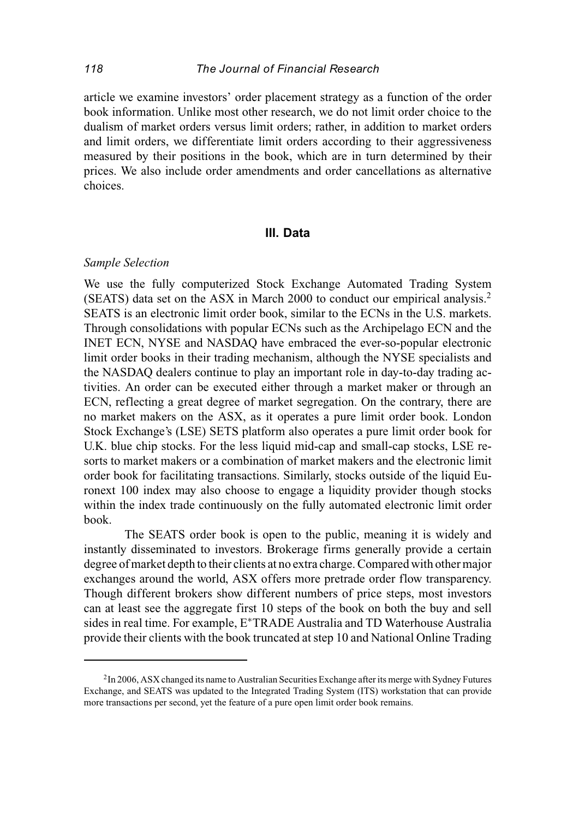article we examine investors' order placement strategy as a function of the order book information. Unlike most other research, we do not limit order choice to the dualism of market orders versus limit orders; rather, in addition to market orders and limit orders, we differentiate limit orders according to their aggressiveness measured by their positions in the book, which are in turn determined by their prices. We also include order amendments and order cancellations as alternative choices.

#### **III. Data**

#### *Sample Selection*

We use the fully computerized Stock Exchange Automated Trading System (SEATS) data set on the ASX in March 2000 to conduct our empirical analysis.<sup>2</sup> SEATS is an electronic limit order book, similar to the ECNs in the U.S. markets. Through consolidations with popular ECNs such as the Archipelago ECN and the INET ECN, NYSE and NASDAQ have embraced the ever-so-popular electronic limit order books in their trading mechanism, although the NYSE specialists and the NASDAQ dealers continue to play an important role in day-to-day trading activities. An order can be executed either through a market maker or through an ECN, reflecting a great degree of market segregation. On the contrary, there are no market makers on the ASX, as it operates a pure limit order book. London Stock Exchange's (LSE) SETS platform also operates a pure limit order book for U.K. blue chip stocks. For the less liquid mid-cap and small-cap stocks, LSE resorts to market makers or a combination of market makers and the electronic limit order book for facilitating transactions. Similarly, stocks outside of the liquid Euronext 100 index may also choose to engage a liquidity provider though stocks within the index trade continuously on the fully automated electronic limit order book.

The SEATS order book is open to the public, meaning it is widely and instantly disseminated to investors. Brokerage firms generally provide a certain degree of market depth to their clients at no extra charge. Compared with other major exchanges around the world, ASX offers more pretrade order flow transparency. Though different brokers show different numbers of price steps, most investors can at least see the aggregate first 10 steps of the book on both the buy and sell sides in real time. For example,  $E^*$ TRADE Australia and TD Waterhouse Australia provide their clients with the book truncated at step 10 and National Online Trading

 $2$ In 2006, ASX changed its name to Australian Securities Exchange after its merge with Sydney Futures Exchange, and SEATS was updated to the Integrated Trading System (ITS) workstation that can provide more transactions per second, yet the feature of a pure open limit order book remains.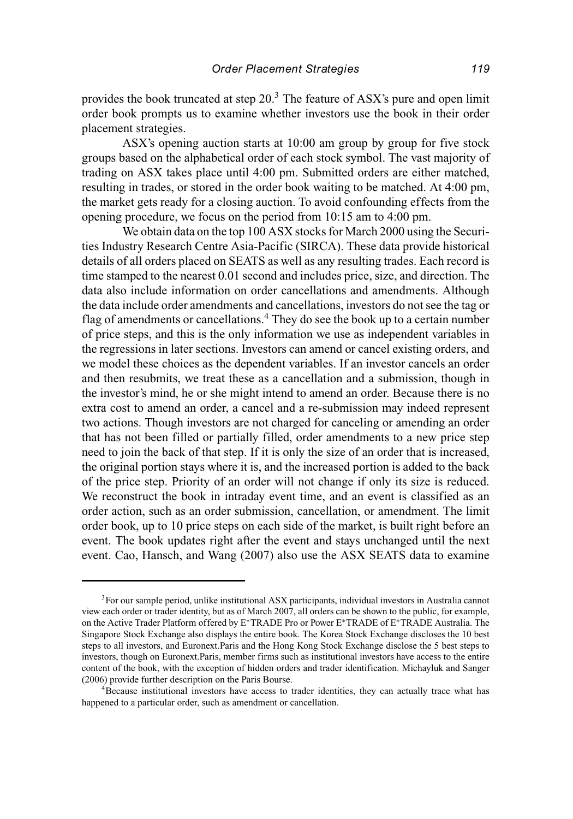provides the book truncated at step  $20<sup>3</sup>$ . The feature of ASX's pure and open limit order book prompts us to examine whether investors use the book in their order placement strategies.

ASX's opening auction starts at 10:00 am group by group for five stock groups based on the alphabetical order of each stock symbol. The vast majority of trading on ASX takes place until 4:00 pm. Submitted orders are either matched, resulting in trades, or stored in the order book waiting to be matched. At 4:00 pm, the market gets ready for a closing auction. To avoid confounding effects from the opening procedure, we focus on the period from 10:15 am to 4:00 pm.

We obtain data on the top 100 ASX stocks for March 2000 using the Securities Industry Research Centre Asia-Pacific (SIRCA). These data provide historical details of all orders placed on SEATS as well as any resulting trades. Each record is time stamped to the nearest 0.01 second and includes price, size, and direction. The data also include information on order cancellations and amendments. Although the data include order amendments and cancellations, investors do not see the tag or flag of amendments or cancellations.<sup>4</sup> They do see the book up to a certain number of price steps, and this is the only information we use as independent variables in the regressions in later sections. Investors can amend or cancel existing orders, and we model these choices as the dependent variables. If an investor cancels an order and then resubmits, we treat these as a cancellation and a submission, though in the investor's mind, he or she might intend to amend an order. Because there is no extra cost to amend an order, a cancel and a re-submission may indeed represent two actions. Though investors are not charged for canceling or amending an order that has not been filled or partially filled, order amendments to a new price step need to join the back of that step. If it is only the size of an order that is increased, the original portion stays where it is, and the increased portion is added to the back of the price step. Priority of an order will not change if only its size is reduced. We reconstruct the book in intraday event time, and an event is classified as an order action, such as an order submission, cancellation, or amendment. The limit order book, up to 10 price steps on each side of the market, is built right before an event. The book updates right after the event and stays unchanged until the next event. Cao, Hansch, and Wang (2007) also use the ASX SEATS data to examine

<sup>&</sup>lt;sup>3</sup>For our sample period, unlike institutional ASX participants, individual investors in Australia cannot view each order or trader identity, but as of March 2007, all orders can be shown to the public, for example, on the Active Trader Platform offered by E∗TRADE Pro or Power E∗TRADE of E∗TRADE Australia. The Singapore Stock Exchange also displays the entire book. The Korea Stock Exchange discloses the 10 best steps to all investors, and Euronext.Paris and the Hong Kong Stock Exchange disclose the 5 best steps to investors, though on Euronext.Paris, member firms such as institutional investors have access to the entire content of the book, with the exception of hidden orders and trader identification. Michayluk and Sanger (2006) provide further description on the Paris Bourse.

<sup>4</sup>Because institutional investors have access to trader identities, they can actually trace what has happened to a particular order, such as amendment or cancellation.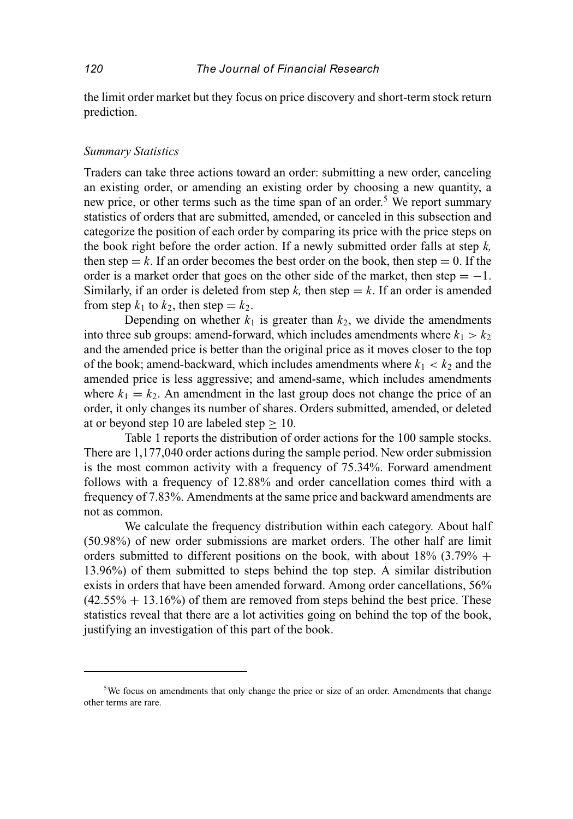the limit order market but they focus on price discovery and short-term stock return prediction.

#### *Summary Statistics*

Traders can take three actions toward an order: submitting a new order, canceling an existing order, or amending an existing order by choosing a new quantity, a new price, or other terms such as the time span of an order.<sup>5</sup> We report summary statistics of orders that are submitted, amended, or canceled in this subsection and categorize the position of each order by comparing its price with the price steps on the book right before the order action. If a newly submitted order falls at step *k,* then step  $=k$ . If an order becomes the best order on the book, then step  $= 0$ . If the order is a market order that goes on the other side of the market, then step  $= -1$ . Similarly, if an order is deleted from step  $k$ , then step  $=k$ . If an order is amended from step  $k_1$  to  $k_2$ , then step  $= k_2$ .

Depending on whether  $k_1$  is greater than  $k_2$ , we divide the amendments into three sub groups: amend-forward, which includes amendments where  $k_1 > k_2$ and the amended price is better than the original price as it moves closer to the top of the book; amend-backward, which includes amendments where  $k_1 < k_2$  and the amended price is less aggressive; and amend-same, which includes amendments where  $k_1 = k_2$ . An amendment in the last group does not change the price of an order, it only changes its number of shares. Orders submitted, amended, or deleted at or beyond step 10 are labeled step  $\geq$  10.

Table 1 reports the distribution of order actions for the 100 sample stocks. There are 1,177,040 order actions during the sample period. New order submission is the most common activity with a frequency of 75.34%. Forward amendment follows with a frequency of 12.88% and order cancellation comes third with a frequency of 7.83%. Amendments at the same price and backward amendments are not as common.

We calculate the frequency distribution within each category. About half (50.98%) of new order submissions are market orders. The other half are limit orders submitted to different positions on the book, with about  $18\%$  (3.79% + 13.96%) of them submitted to steps behind the top step. A similar distribution exists in orders that have been amended forward. Among order cancellations, 56%  $(42.55\% + 13.16\%)$  of them are removed from steps behind the best price. These statistics reveal that there are a lot activities going on behind the top of the book, justifying an investigation of this part of the book.

<sup>&</sup>lt;sup>5</sup>We focus on amendments that only change the price or size of an order. Amendments that change other terms are rare.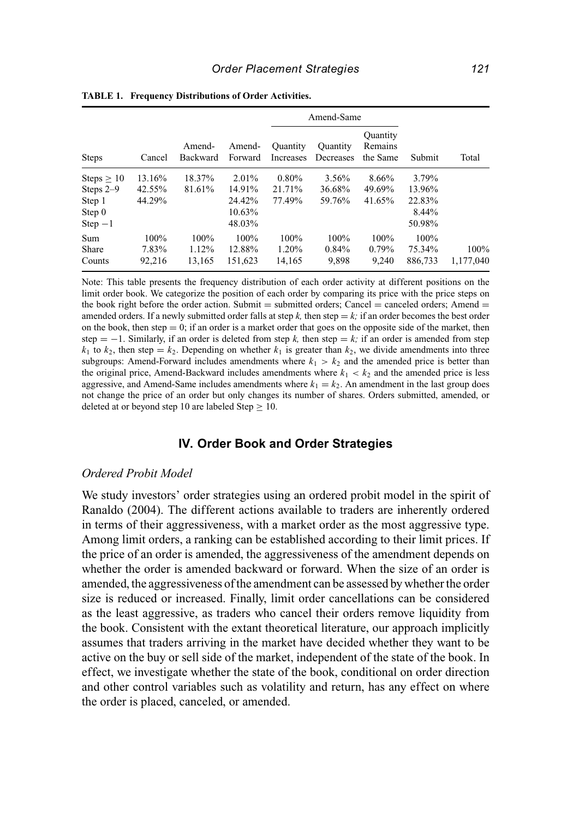|                 |        |                           |                   |                              | Amend-Same                   |                                        |         |           |
|-----------------|--------|---------------------------|-------------------|------------------------------|------------------------------|----------------------------------------|---------|-----------|
| <b>Steps</b>    | Cancel | Amend-<br><b>Backward</b> | Amend-<br>Forward | <b>Quantity</b><br>Increases | <b>Ouantity</b><br>Decreases | <b>Ouantity</b><br>Remains<br>the Same | Submit  | Total     |
| Steps $\geq 10$ | 13.16% | 18.37%                    | $2.01\%$          | $0.80\%$                     | 3.56%                        | 8.66%                                  | 3.79%   |           |
| Steps $2-9$     | 42.55% | 81.61%                    | 14.91%            | 21.71%                       | 36.68%                       | 49.69%                                 | 13.96%  |           |
| Step 1          | 44.29% |                           | 24.42%            | 77.49%                       | 59.76%                       | 41.65%                                 | 22.83%  |           |
| Step 0          |        |                           | 10.63%            |                              |                              |                                        | 8.44%   |           |
| $Step -1$       |        |                           | 48.03%            |                              |                              |                                        | 50.98%  |           |
| Sum             | 100%   | 100%                      | 100%              | 100%                         | 100%                         | 100%                                   | 100%    |           |
| Share           | 7.83%  | 1.12%                     | 12.88%            | 1.20%                        | 0.84%                        | $0.79\%$                               | 75.34%  | 100%      |
| Counts          | 92.216 | 13,165                    | 151,623           | 14,165                       | 9,898                        | 9,240                                  | 886,733 | 1.177.040 |

**TABLE 1. Frequency Distributions of Order Activities.**

Note: This table presents the frequency distribution of each order activity at different positions on the limit order book. We categorize the position of each order by comparing its price with the price steps on the book right before the order action. Submit  $=$  submitted orders; Cancel  $=$  canceled orders; Amend  $=$ amended orders. If a newly submitted order falls at step  $k$ , then step  $k$ ; if an order becomes the best order on the book, then step  $= 0$ ; if an order is a market order that goes on the opposite side of the market, then step =  $-1$ . Similarly, if an order is deleted from step *k*, then step = *k*; if an order is amended from step  $k_1$  to  $k_2$ , then step =  $k_2$ . Depending on whether  $k_1$  is greater than  $k_2$ , we divide amendments into three subgroups: Amend-Forward includes amendments where  $k_1 > k_2$  and the amended price is better than the original price, Amend-Backward includes amendments where  $k_1 < k_2$  and the amended price is less aggressive, and Amend-Same includes amendments where  $k_1 = k_2$ . An amendment in the last group does not change the price of an order but only changes its number of shares. Orders submitted, amended, or deleted at or beyond step 10 are labeled Step  $> 10$ .

# **IV. Order Book and Order Strategies**

#### *Ordered Probit Model*

We study investors' order strategies using an ordered probit model in the spirit of Ranaldo (2004). The different actions available to traders are inherently ordered in terms of their aggressiveness, with a market order as the most aggressive type. Among limit orders, a ranking can be established according to their limit prices. If the price of an order is amended, the aggressiveness of the amendment depends on whether the order is amended backward or forward. When the size of an order is amended, the aggressiveness of the amendment can be assessed by whether the order size is reduced or increased. Finally, limit order cancellations can be considered as the least aggressive, as traders who cancel their orders remove liquidity from the book. Consistent with the extant theoretical literature, our approach implicitly assumes that traders arriving in the market have decided whether they want to be active on the buy or sell side of the market, independent of the state of the book. In effect, we investigate whether the state of the book, conditional on order direction and other control variables such as volatility and return, has any effect on where the order is placed, canceled, or amended.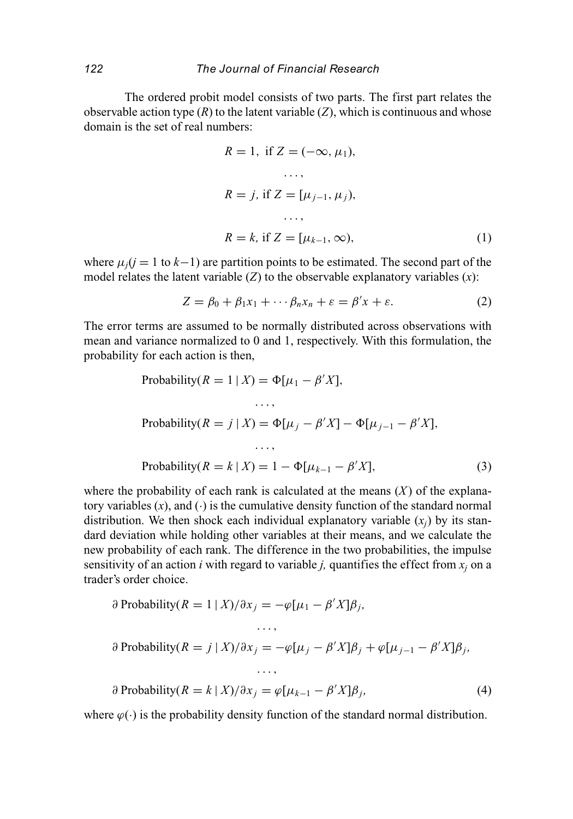The ordered probit model consists of two parts. The first part relates the observable action type (*R*) to the latent variable (*Z*), which is continuous and whose domain is the set of real numbers:

$$
R = 1, \text{ if } Z = (-\infty, \mu_1),
$$
  
...,  

$$
R = j, \text{ if } Z = [\mu_{j-1}, \mu_j),
$$
  
...,  

$$
R = k, \text{ if } Z = [\mu_{k-1}, \infty),
$$
  
(1)

where  $\mu_i$ ( $j = 1$  to  $k-1$ ) are partition points to be estimated. The second part of the model relates the latent variable (*Z*) to the observable explanatory variables (*x*):

$$
Z = \beta_0 + \beta_1 x_1 + \cdots + \beta_n x_n + \varepsilon = \beta' x + \varepsilon. \tag{2}
$$

The error terms are assumed to be normally distributed across observations with mean and variance normalized to 0 and 1, respectively. With this formulation, the probability for each action is then,

Probability
$$
(R = 1 | X) = \Phi[\mu_1 - \beta' X]
$$
,  
\n...,  
\nProbability $(R = j | X) = \Phi[\mu_j - \beta' X] - \Phi[\mu_{j-1} - \beta' X]$ ,  
\n...,  
\nProbability $(R = k | X) = 1 - \Phi[\mu_{k-1} - \beta' X]$ , (3)

where the probability of each rank is calculated at the means  $(X)$  of the explanatory variables  $(x)$ , and  $(\cdot)$  is the cumulative density function of the standard normal distribution. We then shock each individual explanatory variable  $(x<sub>i</sub>)$  by its standard deviation while holding other variables at their means, and we calculate the new probability of each rank. The difference in the two probabilities, the impulse sensitivity of an action *i* with regard to variable *j*, quantifies the effect from  $x_i$  on a trader's order choice.

$$
\partial \text{ Probability}(R = 1 | X) / \partial x_j = -\varphi[\mu_1 - \beta' X] \beta_j,
$$
  
...,  

$$
\partial \text{ Probability}(R = j | X) / \partial x_j = -\varphi[\mu_j - \beta' X] \beta_j + \varphi[\mu_{j-1} - \beta' X] \beta_j,
$$
  
...,  

$$
\partial \text{ Probability}(R = k | X) / \partial x_j = \varphi[\mu_{k-1} - \beta' X] \beta_j,
$$
  
(4)

where  $\varphi(\cdot)$  is the probability density function of the standard normal distribution.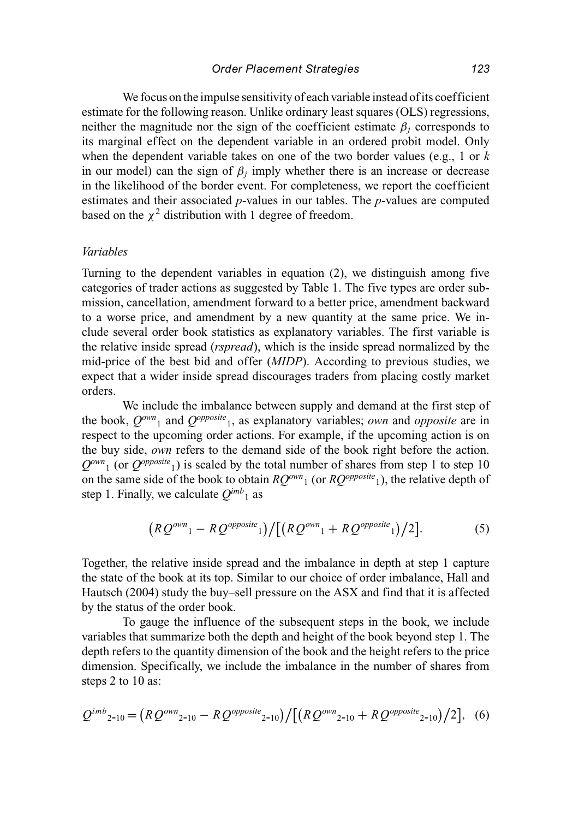We focus on the impulse sensitivity of each variable instead of its coefficient estimate for the following reason. Unlike ordinary least squares (OLS) regressions, neither the magnitude nor the sign of the coefficient estimate  $\beta_i$  corresponds to its marginal effect on the dependent variable in an ordered probit model. Only when the dependent variable takes on one of the two border values (e.g., 1 or *k* in our model) can the sign of  $\beta_i$  imply whether there is an increase or decrease in the likelihood of the border event. For completeness, we report the coefficient estimates and their associated *p*-values in our tables. The *p*-values are computed based on the  $\chi^2$  distribution with 1 degree of freedom.

#### *Variables*

Turning to the dependent variables in equation (2), we distinguish among five categories of trader actions as suggested by Table 1. The five types are order submission, cancellation, amendment forward to a better price, amendment backward to a worse price, and amendment by a new quantity at the same price. We include several order book statistics as explanatory variables. The first variable is the relative inside spread (*rspread*), which is the inside spread normalized by the mid-price of the best bid and offer (*MIDP*). According to previous studies, we expect that a wider inside spread discourages traders from placing costly market orders.

We include the imbalance between supply and demand at the first step of the book,  $Q^{\text{own}}_1$  and  $Q^{\text{opposite}}_1$ , as explanatory variables; *own* and *opposite* are in respect to the upcoming order actions. For example, if the upcoming action is on the buy side, *own* refers to the demand side of the book right before the action.  $Q^{\text{own}}_1$  (or  $Q^{\text{opposite}}_1$ ) is scaled by the total number of shares from step 1 to step 10 on the same side of the book to obtain  $RQ^{own}$ <sub>1</sub> (or  $RQ^{opposite}$ <sub>1</sub>), the relative depth of step 1. Finally, we calculate *Qimb* <sup>1</sup> as

$$
(RQ^{\text{own}}_1 - RQ^{\text{opposite}}_1) / [(RQ^{\text{own}}_1 + RQ^{\text{opposite}}_1) / 2]. \tag{5}
$$

Together, the relative inside spread and the imbalance in depth at step 1 capture the state of the book at its top. Similar to our choice of order imbalance, Hall and Hautsch (2004) study the buy–sell pressure on the ASX and find that it is affected by the status of the order book.

To gauge the influence of the subsequent steps in the book, we include variables that summarize both the depth and height of the book beyond step 1. The depth refers to the quantity dimension of the book and the height refers to the price dimension. Specifically, we include the imbalance in the number of shares from steps 2 to 10 as:

$$
Q^{imb}{}_{2\text{-}10} = \left(RQ^{own}{}_{2\text{-}10} - RQ^{opposite}{}_{2\text{-}10}\right) / \left[\left(RQ^{own}{}_{2\text{-}10} + RQ^{opposite}{}_{2\text{-}10}\right) / 2\right],\tag{6}
$$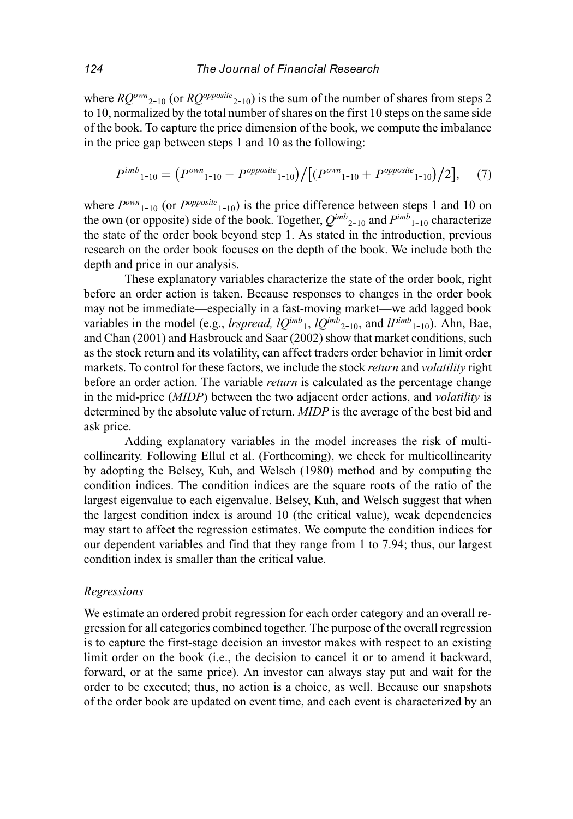where  $RQ^{own}_{2-10}$  (or  $RQ^{opposite}_{2-10}$ ) is the sum of the number of shares from steps 2 to 10, normalized by the total number of shares on the first 10 steps on the same side of the book. To capture the price dimension of the book, we compute the imbalance in the price gap between steps 1 and 10 as the following:

$$
P^{imb}_{1-10} = (P^{own}_{1-10} - P^{opposite}_{1-10}) / [(P^{own}_{1-10} + P^{opposite}_{1-10}) / 2], \quad (7)
$$

where  $P^{own}_{1-10}$  (or  $P^{opposite}_{1-10}$ ) is the price difference between steps 1 and 10 on the own (or opposite) side of the book. Together, *Qimb* 2-10 and *Pimb* 1-10 characterize the state of the order book beyond step 1. As stated in the introduction, previous research on the order book focuses on the depth of the book. We include both the depth and price in our analysis.

These explanatory variables characterize the state of the order book, right before an order action is taken. Because responses to changes in the order book may not be immediate—especially in a fast-moving market—we add lagged book variables in the model (e.g., *lrspread,*  $IQ^{imb}$ <sub>1</sub>,  $IQ^{imb}$ <sub>2-10</sub>, and  $IP^{imb}$ <sub>1-10</sub>). Ahn, Bae, and Chan (2001) and Hasbrouck and Saar (2002) show that market conditions, such as the stock return and its volatility, can affect traders order behavior in limit order markets. To control for these factors, we include the stock *return* and *volatility* right before an order action. The variable *return* is calculated as the percentage change in the mid-price (*MIDP*) between the two adjacent order actions, and *volatility* is determined by the absolute value of return. *MIDP* is the average of the best bid and ask price.

Adding explanatory variables in the model increases the risk of multicollinearity. Following Ellul et al. (Forthcoming), we check for multicollinearity by adopting the Belsey, Kuh, and Welsch (1980) method and by computing the condition indices. The condition indices are the square roots of the ratio of the largest eigenvalue to each eigenvalue. Belsey, Kuh, and Welsch suggest that when the largest condition index is around 10 (the critical value), weak dependencies may start to affect the regression estimates. We compute the condition indices for our dependent variables and find that they range from 1 to 7.94; thus, our largest condition index is smaller than the critical value.

#### *Regressions*

We estimate an ordered probit regression for each order category and an overall regression for all categories combined together. The purpose of the overall regression is to capture the first-stage decision an investor makes with respect to an existing limit order on the book (i.e., the decision to cancel it or to amend it backward, forward, or at the same price). An investor can always stay put and wait for the order to be executed; thus, no action is a choice, as well. Because our snapshots of the order book are updated on event time, and each event is characterized by an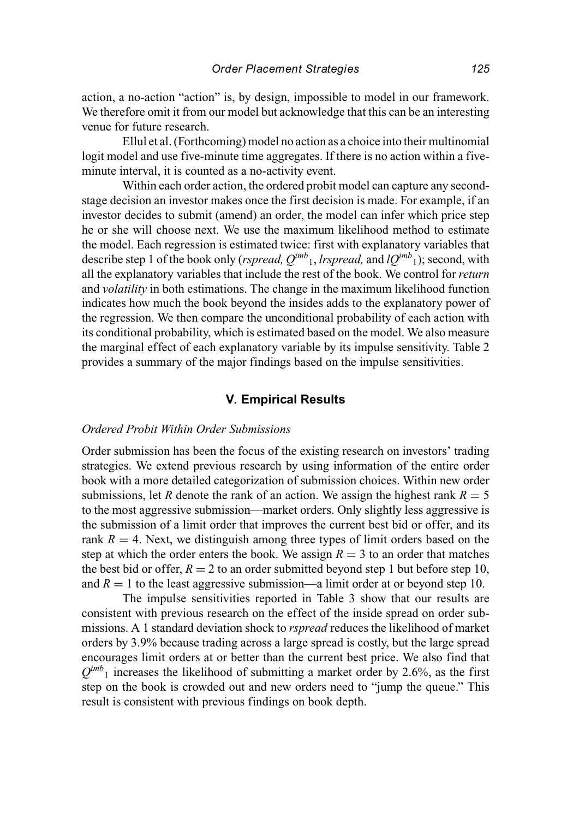action, a no-action "action" is, by design, impossible to model in our framework. We therefore omit it from our model but acknowledge that this can be an interesting venue for future research.

Ellul et al. (Forthcoming) model no action as a choice into their multinomial logit model and use five-minute time aggregates. If there is no action within a fiveminute interval, it is counted as a no-activity event.

Within each order action, the ordered probit model can capture any secondstage decision an investor makes once the first decision is made. For example, if an investor decides to submit (amend) an order, the model can infer which price step he or she will choose next. We use the maximum likelihood method to estimate the model. Each regression is estimated twice: first with explanatory variables that describe step 1 of the book only (*rspread, Qimb* 1, *lrspread,* and *lQimb* 1); second, with all the explanatory variables that include the rest of the book. We control for *return* and *volatility* in both estimations. The change in the maximum likelihood function indicates how much the book beyond the insides adds to the explanatory power of the regression. We then compare the unconditional probability of each action with its conditional probability, which is estimated based on the model. We also measure the marginal effect of each explanatory variable by its impulse sensitivity. Table 2 provides a summary of the major findings based on the impulse sensitivities.

#### **V. Empirical Results**

#### *Ordered Probit Within Order Submissions*

Order submission has been the focus of the existing research on investors' trading strategies. We extend previous research by using information of the entire order book with a more detailed categorization of submission choices. Within new order submissions, let *R* denote the rank of an action. We assign the highest rank  $R = 5$ to the most aggressive submission—market orders. Only slightly less aggressive is the submission of a limit order that improves the current best bid or offer, and its rank  $R = 4$ . Next, we distinguish among three types of limit orders based on the step at which the order enters the book. We assign  $R = 3$  to an order that matches the best bid or offer,  $R = 2$  to an order submitted beyond step 1 but before step 10, and  $R = 1$  to the least aggressive submission—a limit order at or beyond step 10.

The impulse sensitivities reported in Table 3 show that our results are consistent with previous research on the effect of the inside spread on order submissions. A 1 standard deviation shock to *rspread* reduces the likelihood of market orders by 3.9% because trading across a large spread is costly, but the large spread encourages limit orders at or better than the current best price. We also find that  $Q^{imb}$ <sub>1</sub> increases the likelihood of submitting a market order by 2.6%, as the first step on the book is crowded out and new orders need to "jump the queue." This result is consistent with previous findings on book depth.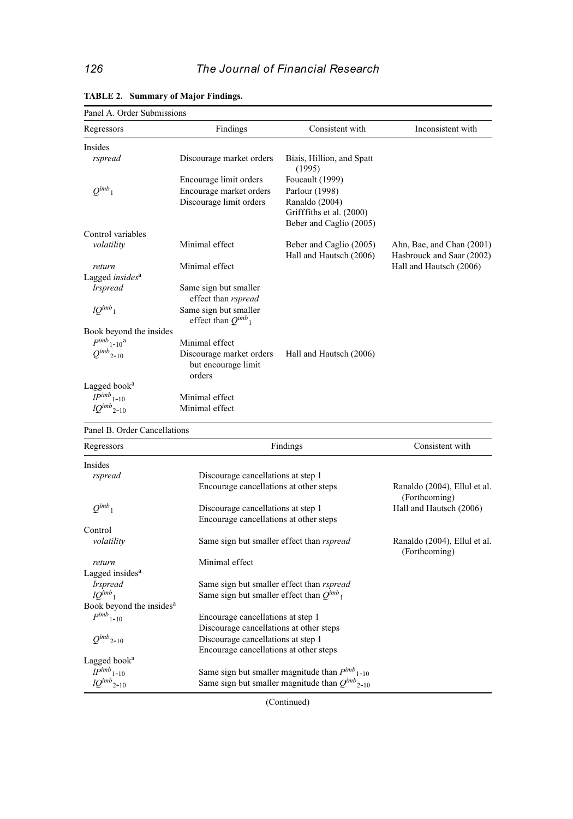| Regressors                                            | Findings                                                                                                     | Consistent with                                                                 | Inconsistent with                                      |
|-------------------------------------------------------|--------------------------------------------------------------------------------------------------------------|---------------------------------------------------------------------------------|--------------------------------------------------------|
| Insides                                               |                                                                                                              |                                                                                 |                                                        |
| rspread                                               | Discourage market orders                                                                                     | Biais, Hillion, and Spatt<br>(1995)                                             |                                                        |
| $Q^{imb}$ <sub>1</sub>                                | Encourage limit orders<br>Encourage market orders<br>Discourage limit orders                                 | Foucault (1999)<br>Parlour (1998)<br>Ranaldo (2004)<br>Grifffiths et al. (2000) |                                                        |
|                                                       |                                                                                                              | Beber and Caglio (2005)                                                         |                                                        |
| Control variables                                     |                                                                                                              |                                                                                 |                                                        |
| volatility                                            | Minimal effect                                                                                               | Beber and Caglio (2005)<br>Hall and Hautsch (2006)                              | Ahn, Bae, and Chan (2001)<br>Hasbrouck and Saar (2002) |
| return                                                | Minimal effect                                                                                               |                                                                                 | Hall and Hautsch (2006)                                |
| Lagged <i>insides<sup>a</sup></i>                     |                                                                                                              |                                                                                 |                                                        |
| <i>lrspread</i>                                       | Same sign but smaller<br>effect than <i>rspread</i>                                                          |                                                                                 |                                                        |
| $10^{imb}$                                            | Same sign but smaller<br>effect than $Q^{imb}$ <sub>1</sub>                                                  |                                                                                 |                                                        |
| Book beyond the insides                               |                                                                                                              |                                                                                 |                                                        |
| $P^{imb}$ <sub>1-10</sub> <sup>a</sup>                | Minimal effect                                                                                               |                                                                                 |                                                        |
| $Q^{imb}$ <sub>2-10</sub>                             | Discourage market orders<br>but encourage limit<br>orders                                                    | Hall and Hautsch (2006)                                                         |                                                        |
| Lagged book <sup>a</sup>                              |                                                                                                              |                                                                                 |                                                        |
| $lP^{imb}$ <sub>1-10</sub>                            | Minimal effect                                                                                               |                                                                                 |                                                        |
| $lQ^{imb}$ <sub>2-10</sub>                            | Minimal effect                                                                                               |                                                                                 |                                                        |
|                                                       |                                                                                                              |                                                                                 |                                                        |
| Panel B. Order Cancellations                          |                                                                                                              |                                                                                 |                                                        |
| Regressors                                            |                                                                                                              | Findings                                                                        | Consistent with                                        |
| Insides                                               |                                                                                                              |                                                                                 |                                                        |
| rspread                                               | Discourage cancellations at step 1                                                                           |                                                                                 |                                                        |
|                                                       | Encourage cancellations at other steps                                                                       |                                                                                 | Ranaldo (2004), Ellul et al.<br>(Forthcoming)          |
| $O^{imb}$                                             | Discourage cancellations at step 1                                                                           | Hall and Hautsch (2006)                                                         |                                                        |
|                                                       | Encourage cancellations at other steps                                                                       |                                                                                 |                                                        |
| Control<br>volatility                                 | Same sign but smaller effect than <i>rspread</i>                                                             |                                                                                 | Ranaldo (2004), Ellul et al.                           |
|                                                       |                                                                                                              |                                                                                 | (Forthcoming)                                          |
| return                                                | Minimal effect                                                                                               |                                                                                 |                                                        |
| Lagged insides <sup>a</sup><br><i><b>lrspread</b></i> |                                                                                                              |                                                                                 |                                                        |
| $lQ^{imb}$ <sub>1</sub>                               | Same sign but smaller effect than <i>rspread</i><br>Same sign but smaller effect than $Q^{imb}$ <sub>1</sub> |                                                                                 |                                                        |
| Book beyond the insides <sup>a</sup>                  |                                                                                                              |                                                                                 |                                                        |
| $P^{imb}$ <sub>1-10</sub>                             | Encourage cancellations at step 1                                                                            |                                                                                 |                                                        |
|                                                       | Discourage cancellations at other steps                                                                      |                                                                                 |                                                        |
| $Q^{imb}$ <sub>2-10</sub>                             | Discourage cancellations at step 1                                                                           |                                                                                 |                                                        |
| Lagged book <sup>a</sup>                              | Encourage cancellations at other steps                                                                       |                                                                                 |                                                        |
| $\overline{IP}^{imb}$ <sub>1-10</sub>                 |                                                                                                              | Same sign but smaller magnitude than $P^{imb}$ <sub>1-10</sub>                  |                                                        |
| $lQ^{imb}$ <sub>2-10</sub>                            |                                                                                                              | Same sign but smaller magnitude than $Q^{imb}$ <sub>2-10</sub>                  |                                                        |
|                                                       |                                                                                                              |                                                                                 |                                                        |

**TABLE 2. Summary of Major Findings.**

(Continued)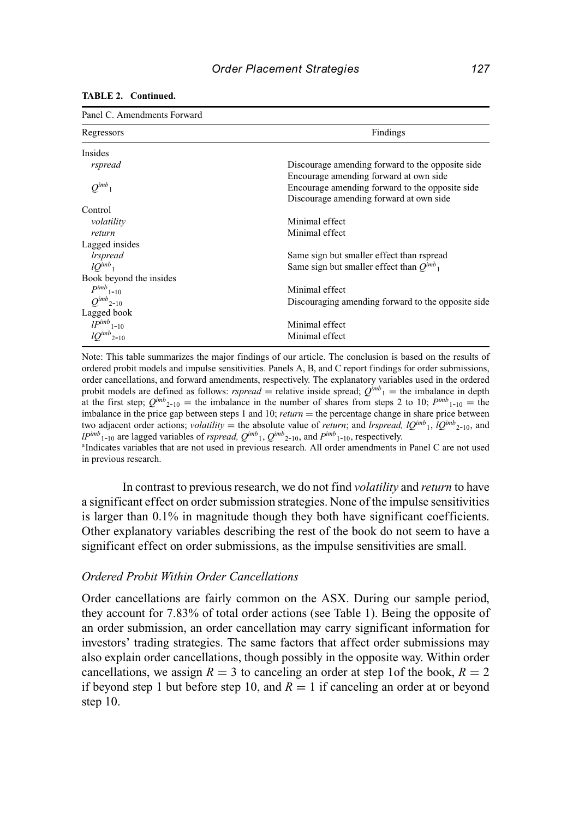| Panel C. Amendments Forward           |                                                          |
|---------------------------------------|----------------------------------------------------------|
| Regressors                            | Findings                                                 |
| Insides                               |                                                          |
| rspread                               | Discourage amending forward to the opposite side         |
|                                       | Encourage amending forward at own side                   |
| $Q^{imb}$                             | Encourage amending forward to the opposite side          |
|                                       | Discourage amending forward at own side                  |
| Control                               |                                                          |
| volatility                            | Minimal effect                                           |
| return                                | Minimal effect                                           |
| Lagged insides                        |                                                          |
| <i>lrspread</i>                       | Same sign but smaller effect than rspread                |
| $10^{imb}$                            | Same sign but smaller effect than $Q^{imb}$ <sub>1</sub> |
| Book beyond the insides               |                                                          |
| $P^{imb}$ <sub>1-10</sub>             | Minimal effect                                           |
| $Q^{imb}$ <sub>2-10</sub>             | Discouraging amending forward to the opposite side       |
| Lagged book                           |                                                          |
| $\overline{IP}^{imb}$ <sub>1-10</sub> | Minimal effect                                           |
| $lQ^{imb}$ <sub>2-10</sub>            | Minimal effect                                           |

**TABLE 2. Continued.**

Note: This table summarizes the major findings of our article. The conclusion is based on the results of ordered probit models and impulse sensitivities. Panels A, B, and C report findings for order submissions, order cancellations, and forward amendments, respectively. The explanatory variables used in the ordered probit models are defined as follows: *rspread* = relative inside spread;  $Q^{imb}$ <sub>1</sub> = the imbalance in depth at the first step;  $Q^{imb}$ <sub>2-10</sub> = the imbalance in the number of shares from steps 2 to 10;  $P^{imb}$ <sub>1-10</sub> = the imbalance in the price gap between steps 1 and 10; *return* = the percentage change in share price between two adjacent order actions; *volatility* = the absolute value of *return*; and *lrspread,*  $lQ^{imb}$ <sub>1</sub>,  $lQ^{imb}$ <sub>2-10</sub>, and  $lP^{imb}$ <sub>1-10</sub> are lagged variables of *rspread,*  $Q^{imb}$ <sub>1</sub>,  $Q^{imb}$ <sub>2-10</sub>, and  $P^{imb}$ <sub>1-10</sub>, respect

<sup>a</sup>Indicates variables that are not used in previous research. All order amendments in Panel C are not used in previous research.

In contrast to previous research, we do not find *volatility* and *return* to have a significant effect on order submission strategies. None of the impulse sensitivities is larger than 0.1% in magnitude though they both have significant coefficients. Other explanatory variables describing the rest of the book do not seem to have a significant effect on order submissions, as the impulse sensitivities are small.

### *Ordered Probit Within Order Cancellations*

Order cancellations are fairly common on the ASX. During our sample period, they account for 7.83% of total order actions (see Table 1). Being the opposite of an order submission, an order cancellation may carry significant information for investors' trading strategies. The same factors that affect order submissions may also explain order cancellations, though possibly in the opposite way. Within order cancellations, we assign  $R = 3$  to canceling an order at step 1of the book,  $R = 2$ if beyond step 1 but before step 10, and  $R = 1$  if canceling an order at or beyond step 10.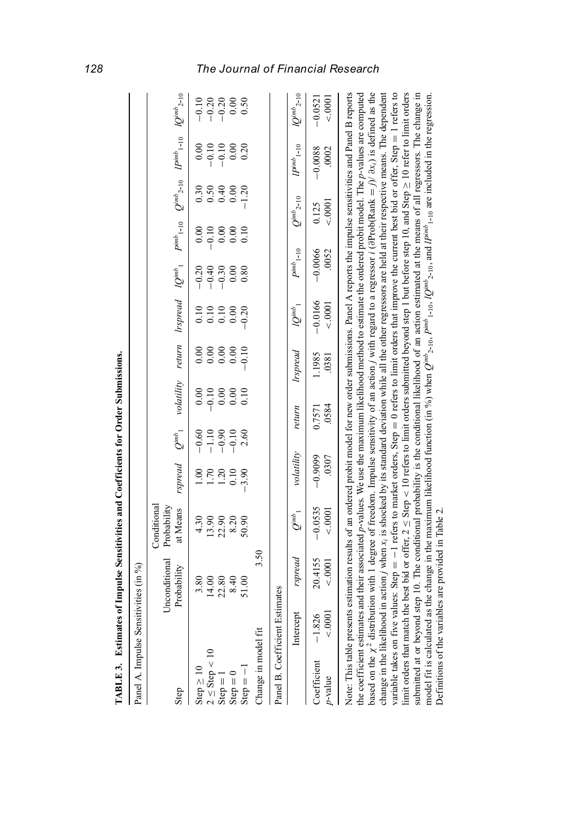|                                                                                 | [ABLE 3. Estimates of I |                              | Impulse Sensitivities and Coefficients for Order Submissions.                                                                                                                                                                                                                                                                                                                                                                                                                                                                                                                                                                                                                                                                                                                                                                                                                                                                                                                                                                                                                                                                                                                                                                                                                                                                          |                          |                               |                         |                                                     |                                                     |                               |                         |                                                     |                                            |                               |
|---------------------------------------------------------------------------------|-------------------------|------------------------------|----------------------------------------------------------------------------------------------------------------------------------------------------------------------------------------------------------------------------------------------------------------------------------------------------------------------------------------------------------------------------------------------------------------------------------------------------------------------------------------------------------------------------------------------------------------------------------------------------------------------------------------------------------------------------------------------------------------------------------------------------------------------------------------------------------------------------------------------------------------------------------------------------------------------------------------------------------------------------------------------------------------------------------------------------------------------------------------------------------------------------------------------------------------------------------------------------------------------------------------------------------------------------------------------------------------------------------------|--------------------------|-------------------------------|-------------------------|-----------------------------------------------------|-----------------------------------------------------|-------------------------------|-------------------------|-----------------------------------------------------|--------------------------------------------|-------------------------------|
| Panel A. Impulse Sensitivi                                                      |                         | ties (in $\%$ )              |                                                                                                                                                                                                                                                                                                                                                                                                                                                                                                                                                                                                                                                                                                                                                                                                                                                                                                                                                                                                                                                                                                                                                                                                                                                                                                                                        |                          |                               |                         |                                                     |                                                     |                               |                         |                                                     |                                            |                               |
| Step                                                                            |                         | Unconditional<br>Probability | Conditional<br>Probability<br>at Means                                                                                                                                                                                                                                                                                                                                                                                                                                                                                                                                                                                                                                                                                                                                                                                                                                                                                                                                                                                                                                                                                                                                                                                                                                                                                                 | rspread                  | $\mathcal{Q}^{imb}{}_1$       | volatility              | return                                              | Irspread                                            | $IQ^{imb}{}_1$                |                         | $P^{imb}$ <sub>1-10</sub> $Q^{imb}$ <sub>2-10</sub> | $I\hspace{-1.6mm}P^{imb}{}_{1\text{--}10}$ | $lQ^{imb}$ 2-10               |
| Step $\ge 10$<br>$2 \le$ Step $< 10$<br>Step $= 1$<br>Step $= 0$<br>Step $= -1$ |                         | 14.00<br>3.80<br>22.80       | 4.30<br>13.90<br>22.90                                                                                                                                                                                                                                                                                                                                                                                                                                                                                                                                                                                                                                                                                                                                                                                                                                                                                                                                                                                                                                                                                                                                                                                                                                                                                                                 | $1.70$<br>$1.20$<br>0.00 | $-1.10$<br>$-0.90$<br>$-0.60$ | $-0.10$<br>0.00<br>0.00 | $\begin{array}{c} 0.00 \\ 0.00 \end{array}$<br>0.00 | $\begin{array}{c} 0.10 \\ 0.10 \end{array}$<br>0.10 | $-0.40$<br>$-0.30$<br>$-0.20$ | $-0.10$<br>0.00<br>0.00 | 0.30<br>0.50<br>0.40                                | $-0.10$<br>$-0.10$<br>0.00                 | $-0.20$<br>$-0.20$<br>$-0.10$ |
|                                                                                 |                         | 8.40<br>51.00                | 8.20<br>50.90                                                                                                                                                                                                                                                                                                                                                                                                                                                                                                                                                                                                                                                                                                                                                                                                                                                                                                                                                                                                                                                                                                                                                                                                                                                                                                                          | 0.10<br>$-3.90$          | 2.60<br>$-0.10$               | 0.00<br>0.10            | $-0.10$<br>0.00                                     | $-0.20$<br>0.00                                     | 0.00<br>0.80                  | 0.10<br>0.00            | $-1.20$<br>0.00                                     | 0.00<br>0.20                               | 0.00<br>0.50                  |
| Change in model fit                                                             |                         | 3.50                         |                                                                                                                                                                                                                                                                                                                                                                                                                                                                                                                                                                                                                                                                                                                                                                                                                                                                                                                                                                                                                                                                                                                                                                                                                                                                                                                                        |                          |                               |                         |                                                     |                                                     |                               |                         |                                                     |                                            |                               |
| Panel B. Coefficient Estimates                                                  |                         |                              |                                                                                                                                                                                                                                                                                                                                                                                                                                                                                                                                                                                                                                                                                                                                                                                                                                                                                                                                                                                                                                                                                                                                                                                                                                                                                                                                        |                          |                               |                         |                                                     |                                                     |                               |                         |                                                     |                                            |                               |
|                                                                                 | Intercept               | rspread                      | $Q^{imb}{}_{1}$                                                                                                                                                                                                                                                                                                                                                                                                                                                                                                                                                                                                                                                                                                                                                                                                                                                                                                                                                                                                                                                                                                                                                                                                                                                                                                                        | volatility               |                               | return                  | Irspread                                            | $l\mathcal{Q}^{imb}{}_{1}$                          | $P^{imb}{}_{\rm 1-10}$        |                         | $Q^{imb}$ <sub>2-10</sub>                           | $I\hspace{-1.6mm}P^{imb}{}_{1\text{--}10}$ | $lQ^{imb}$ <sub>2-10</sub>    |
| Coefficient<br>$p$ -value                                                       | 0001<br>$-1.826$        | 20.4155<br>0001              | $-0.0535$<br>0001                                                                                                                                                                                                                                                                                                                                                                                                                                                                                                                                                                                                                                                                                                                                                                                                                                                                                                                                                                                                                                                                                                                                                                                                                                                                                                                      | $-0.9099$<br>.0307       |                               | .0584<br>0.7571         | 1.1985<br>.0381                                     | $-0.0166$<br>0001                                   | $-0.0066$<br>.0052            |                         | 0001<br>0.125                                       | $-0.0088$<br>.0002                         | $-0.0521$<br>$1000 - 70$      |
| Definitions of the variables                                                    |                         | are provided in Table 2.     | based on the $\chi^2$ distribution with 1 degree of freedom. Impulse sensitivity of an action j with regard to a regressor i ( $\partial$ Prob(Rank = $j$ )/ $\partial x_i$ ) is defined as the change in the likelihood in action j when $x_i$ is<br>variable takes on five values: Step $= -1$ refers to market orders, Step $= 0$ refers to limit orders that improve the current best bid or offer, Step $= 1$ refers to<br>the coefficient estimates and their associated p-values. We use the maximum likelihood method to estimate the ordered probit model. The p-values are computed<br>limit orders that match the best bid or offer, $2 \leq$ Step $\lt 10$ refers to limit orders submitted beyond step 1 but before step 10, and Step $\geq 10$ refer to limit orders<br>submitted at or beyond step 10. The conditional probability is the conditional likelihood of an action estimated at the means of all regressors. The change in<br>Note: This table presents estimation results of an ordered probit model for new order submissions. Panel A reports the impulse sensitivities and Panel B reports<br>model fit is calculated as the change in the maximum likelihood function (in %) when $Q^{imb}$ <sub>2-10</sub> , $P^{imb}$ <sub>2-10</sub> , and $P^{imb}$ <sub>2-10</sub> are included in the regression. |                          |                               |                         |                                                     |                                                     |                               |                         |                                                     |                                            |                               |

# *128 The Journal of Financial Research*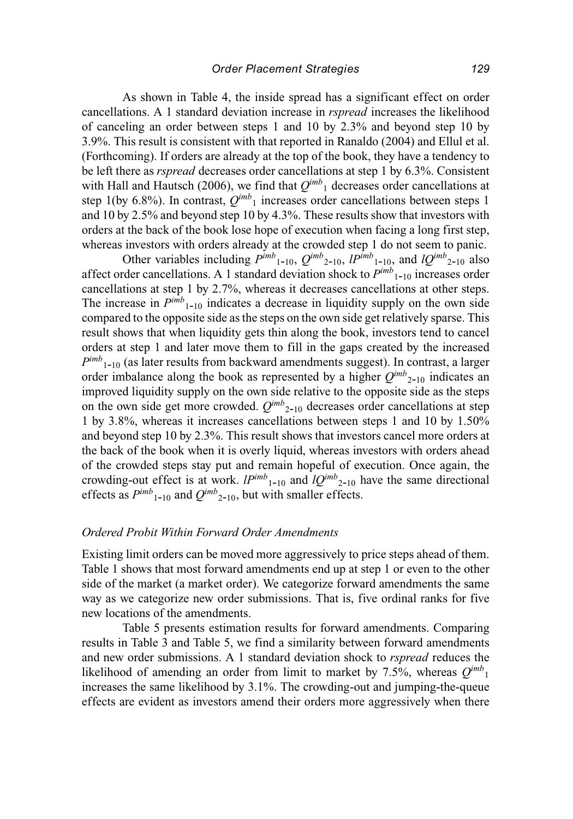As shown in Table 4, the inside spread has a significant effect on order cancellations. A 1 standard deviation increase in *rspread* increases the likelihood of canceling an order between steps 1 and 10 by 2.3% and beyond step 10 by 3.9%. This result is consistent with that reported in Ranaldo (2004) and Ellul et al. (Forthcoming). If orders are already at the top of the book, they have a tendency to be left there as *rspread* decreases order cancellations at step 1 by 6.3%. Consistent with Hall and Hautsch (2006), we find that *Qimb* <sup>1</sup> decreases order cancellations at step 1(by 6.8%). In contrast,  $Q^{imb}$ <sub>1</sub> increases order cancellations between steps 1 and 10 by 2.5% and beyond step 10 by 4.3%. These results show that investors with orders at the back of the book lose hope of execution when facing a long first step, whereas investors with orders already at the crowded step 1 do not seem to panic.

Other variables including  $P^{imb}$ <sub>1-10</sub>,  $Q^{imb}$ <sub>2-10</sub>,  $IP^{imb}$ <sub>1-10</sub>, and  $IQ^{imb}$ <sub>2-10</sub> also affect order cancellations. A 1 standard deviation shock to *Pimb* 1-10 increases order cancellations at step 1 by 2.7%, whereas it decreases cancellations at other steps. The increase in *Pimb* 1-10 indicates a decrease in liquidity supply on the own side compared to the opposite side as the steps on the own side get relatively sparse. This result shows that when liquidity gets thin along the book, investors tend to cancel orders at step 1 and later move them to fill in the gaps created by the increased *Pimb* 1-10 (as later results from backward amendments suggest). In contrast, a larger order imbalance along the book as represented by a higher *Qimb* 2-10 indicates an improved liquidity supply on the own side relative to the opposite side as the steps on the own side get more crowded. *Qimb* 2-10 decreases order cancellations at step 1 by 3.8%, whereas it increases cancellations between steps 1 and 10 by 1.50% and beyond step 10 by 2.3%. This result shows that investors cancel more orders at the back of the book when it is overly liquid, whereas investors with orders ahead of the crowded steps stay put and remain hopeful of execution. Once again, the crowding-out effect is at work.  $IP^{imb}$ <sub>1-10</sub> and  $IQ^{imb}$ <sub>2-10</sub> have the same directional effects as  $P^{imb}$ <sub>1-10</sub> and  $Q^{imb}$ <sub>2-10</sub>, but with smaller effects.

### *Ordered Probit Within Forward Order Amendments*

Existing limit orders can be moved more aggressively to price steps ahead of them. Table 1 shows that most forward amendments end up at step 1 or even to the other side of the market (a market order). We categorize forward amendments the same way as we categorize new order submissions. That is, five ordinal ranks for five new locations of the amendments.

Table 5 presents estimation results for forward amendments. Comparing results in Table 3 and Table 5, we find a similarity between forward amendments and new order submissions. A 1 standard deviation shock to *rspread* reduces the likelihood of amending an order from limit to market by 7.5%, whereas  $Q^{imb}$ <sup>1</sup> increases the same likelihood by 3.1%. The crowding-out and jumping-the-queue effects are evident as investors amend their orders more aggressively when there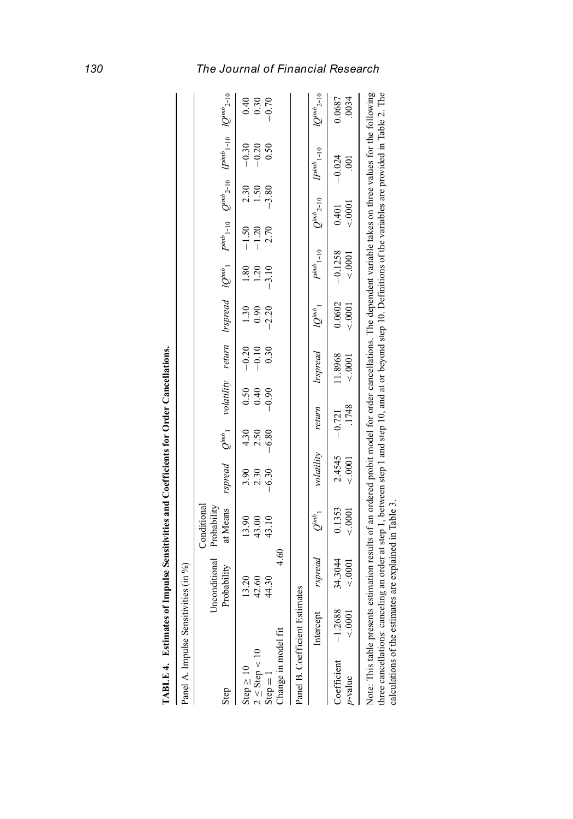| TABLE 4. Estimates of                |                    |                                                                                                                                                                                                                                                                                                                                                                                                  | impulse Sensitivities and Coefficients for Order Cancellations. |                |              |              |                    |                                                                                                                                                                                             |                        |                    |                           |                            |                            |
|--------------------------------------|--------------------|--------------------------------------------------------------------------------------------------------------------------------------------------------------------------------------------------------------------------------------------------------------------------------------------------------------------------------------------------------------------------------------------------|-----------------------------------------------------------------|----------------|--------------|--------------|--------------------|---------------------------------------------------------------------------------------------------------------------------------------------------------------------------------------------|------------------------|--------------------|---------------------------|----------------------------|----------------------------|
| Panel A. Impulse Sensitivit          |                    | ies (in %)                                                                                                                                                                                                                                                                                                                                                                                       |                                                                 |                |              |              |                    |                                                                                                                                                                                             |                        |                    |                           |                            |                            |
| Step                                 |                    | Unconditional<br>Probability                                                                                                                                                                                                                                                                                                                                                                     | at Means<br>Probability<br>Conditional                          |                |              |              |                    | rspread $Q^{imb}$ <sub>1</sub> volatility return Irspread $IQ^{imb}$ <sub>1</sub> $P^{imb}$ <sub>1-10</sub> $Q^{imb}$ <sub>2-10</sub> $IP^{imb}$ <sub>1-10</sub> $IQ^{imb}$ <sub>2-10</sub> |                        |                    |                           |                            |                            |
| $2 \leq$ Step < 10<br>Step $\geq 10$ |                    | 13.20<br>42.60                                                                                                                                                                                                                                                                                                                                                                                   | 13.90<br>43.00                                                  | 3.90<br>2.30   | 4.30<br>2.50 | 0.50<br>0.40 | $-0.20$<br>$-0.10$ | 1.30<br>0.90                                                                                                                                                                                | 1.80<br>1.20           | $-1.50$<br>$-1.20$ | 2.30<br>1.50              | $-0.30$<br>$-0.20$         | 0.40<br>0.30               |
| Change in model fit<br>$Step = 1$    |                    | $\frac{4.60}{4}$<br>44.30                                                                                                                                                                                                                                                                                                                                                                        | 43.10                                                           | $-6.30$        | $-6.80$      | $-0.90$      | 0.30               | $-2.20$                                                                                                                                                                                     | $-3.10$                | 2.70               | $-3.80$                   | 0.50                       | $-0.70$                    |
| Panel B. Coefficient Estimates       |                    |                                                                                                                                                                                                                                                                                                                                                                                                  |                                                                 |                |              |              |                    |                                                                                                                                                                                             |                        |                    |                           |                            |                            |
|                                      | Intercept          | rspread                                                                                                                                                                                                                                                                                                                                                                                          | $Q^{imb}_{\quad \, 1}$                                          | volatility     |              | return       | Irspread           | $Q^{imb}$ <sub>1</sub>                                                                                                                                                                      | $P^{imb}{}_{\rm 1-10}$ |                    | $Q^{imb}$ <sub>2-10</sub> | $I\!\!P^{imb}{}_{1^-10}$   | $lQ^{imb}$ <sub>2-10</sub> |
| Coefficient<br>p-value               | $-1.2688$<br>(000) | 34.3044<br>0001                                                                                                                                                                                                                                                                                                                                                                                  | 0.1353<br>0001                                                  | 2.4545<br>0001 | $-0.721$     | .1748        | 11.8968<br>0001    | 0.0602<br>0001                                                                                                                                                                              | $-0.1258$<br>0001      | 0.401              | 0001                      | $-0.024$<br>$\overline{5}$ | 0.0687<br>.0034            |
|                                      |                    | Note: This table presents estimation results of an ordered probit model for order cancellations. The dependent variable takes on three values for the following<br>three cancellations: canceling an order at step 1, between step 1 and step 10, and at or beyond step 10. Definitions of the variables are provided in Table 2. The<br>calculations of the estimates are explained in Table 3. |                                                                 |                |              |              |                    |                                                                                                                                                                                             |                        |                    |                           |                            |                            |

| j              |                                                                                                                                                                 |
|----------------|-----------------------------------------------------------------------------------------------------------------------------------------------------------------|
|                | ļ<br>ı                                                                                                                                                          |
|                | ì                                                                                                                                                               |
| i              |                                                                                                                                                                 |
|                | ֧֧֖֖֖֧֧֧֧֧֧֧֧֧֧֪ׅ֧֧֧֧֧֧֧֧֧֪ׅ֧֧֧֪ׅ֧֚֚֚֚֚֚֚֚֚֚֚֚֚֚֚֚֚֚֚֚֚֚֚֡֓֟֬֝֝֬֝֬֝֬֝֬֝֬֝֬֝֬֝֬֝֬֓֝֬֝֬֝֬֝֬֝֬֝֬֝֬֝֬֝֬<br>֧֧֧֧֪֧֪֧֪֧֪֖֧֧֪֧֪ׅ֧֪֪֪֪֪֪ׅ֛֪֪ׅ֛֪֪ׅ֛֪֪ׅ֛֚֚֚֚֝֝֝֬֝֬֝֬֝֝֬֝֬ |
|                |                                                                                                                                                                 |
| I              | l                                                                                                                                                               |
| ļ              |                                                                                                                                                                 |
| <br> <br> <br> | ֠<br>֕                                                                                                                                                          |

*130 The Journal of Financial Research*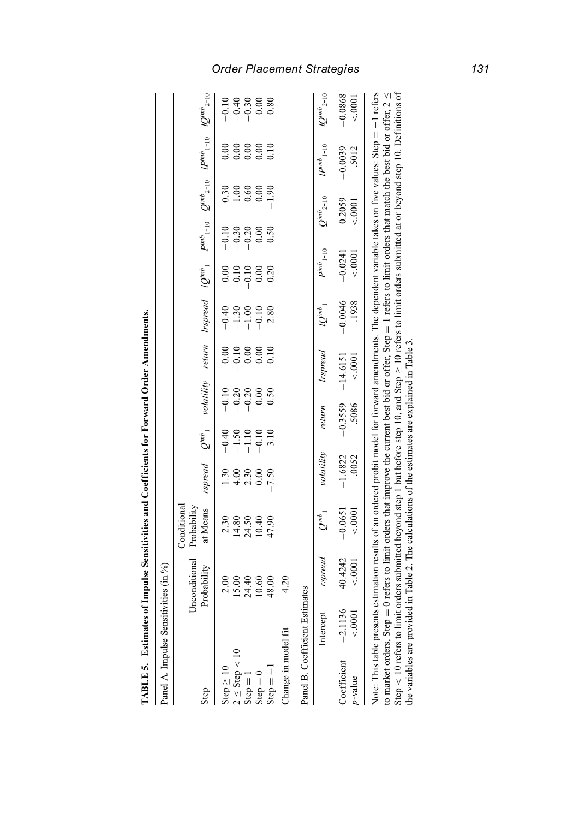| Panel A. Impulse Sensitivities (in %)                                                                                                                                                                                                                                                                                                                                                                                                                                              |                         |                              |                                                                                                                                           |                    |                    |                    |                         |                                                                                                                                                                                             |                          |                    |                           |                                 |                            |
|------------------------------------------------------------------------------------------------------------------------------------------------------------------------------------------------------------------------------------------------------------------------------------------------------------------------------------------------------------------------------------------------------------------------------------------------------------------------------------|-------------------------|------------------------------|-------------------------------------------------------------------------------------------------------------------------------------------|--------------------|--------------------|--------------------|-------------------------|---------------------------------------------------------------------------------------------------------------------------------------------------------------------------------------------|--------------------------|--------------------|---------------------------|---------------------------------|----------------------------|
| Step                                                                                                                                                                                                                                                                                                                                                                                                                                                                               |                         | Unconditional<br>Probability | Conditional<br>Probability<br>at Means                                                                                                    |                    |                    |                    |                         | rspread $Q^{imb}$ <sub>1</sub> volatility return Irspread $IQ^{imb}$ <sub>1</sub> $P^{imb}$ <sub>1-10</sub> $Q^{imb}$ <sub>2-10</sub> $IP^{imb}$ <sub>1-10</sub> $IQ^{imb}$ <sub>2-10</sub> |                          |                    |                           |                                 |                            |
| $2 \leq$ Step < 10<br>Step $\geq 10$                                                                                                                                                                                                                                                                                                                                                                                                                                               |                         | 2.00<br>15.00                | 2.30<br>14.80                                                                                                                             | 1.30<br>4.00       | $-0.40$<br>$-1.50$ | $-0.10$<br>$-0.20$ | $-0.10$<br>0.00         | $-0.40$<br>$-1.30$                                                                                                                                                                          | 0.00<br>$-0.10$          | $-0.30$<br>$-0.10$ | 0.30<br>1.00              | 0.00<br>0.00                    | $-0.10$                    |
| $Step =$                                                                                                                                                                                                                                                                                                                                                                                                                                                                           |                         | 24.40                        | 24.50                                                                                                                                     | $2.30$<br>$0.00$   | $-1.10$            | $-0.20$            |                         | $-1.00$<br>$-0.10$                                                                                                                                                                          | $-0.10$                  |                    | 0.60                      | 0.00                            | $-0.30$<br>$-0.30$<br>0.00 |
| $Step = 0$                                                                                                                                                                                                                                                                                                                                                                                                                                                                         |                         | 10.60                        | 10.40                                                                                                                                     |                    | $-0.10$            | $0.00\,$           |                         |                                                                                                                                                                                             | 0.00                     | $-0.20$            | 0.00                      | 0.00                            |                            |
| $Step = -$                                                                                                                                                                                                                                                                                                                                                                                                                                                                         |                         | 48.00                        | 47.90                                                                                                                                     | $-7.50$            | 3.10               | 0.50               |                         | 2.80                                                                                                                                                                                        | 0.20                     | 0.50               | $-1.90$                   | 0.10                            | 0.80                       |
| Change in model fit                                                                                                                                                                                                                                                                                                                                                                                                                                                                |                         | 4.20                         |                                                                                                                                           |                    |                    |                    |                         |                                                                                                                                                                                             |                          |                    |                           |                                 |                            |
| Panel B. Coefficient Estimates                                                                                                                                                                                                                                                                                                                                                                                                                                                     |                         |                              |                                                                                                                                           |                    |                    |                    |                         |                                                                                                                                                                                             |                          |                    |                           |                                 |                            |
|                                                                                                                                                                                                                                                                                                                                                                                                                                                                                    | Intercept               | rspread                      | $\mathcal{Q}^{int}$                                                                                                                       | volatility         |                    | return             | Irspread                | $lQ^{imb}{}_{1}$                                                                                                                                                                            | $P^{imb}{}_{\rm 1-10}$   |                    | $Q^{imb}$ <sub>2-10</sub> | $I\!\!P^{imb}{}_{1\text{--}10}$ | $lQ^{imb}$ 2-10            |
| Coefficient<br>p-value                                                                                                                                                                                                                                                                                                                                                                                                                                                             | $-2.1136$<br>$\sim 000$ | 40.4242<br>0001              | $-0.0651$<br>$\frac{1000}{\lambda}$                                                                                                       | $-1.6822$<br>.0052 |                    | $-0.3559$<br>.5086 | $-14.6151$<br>$-0.0001$ | $-0.0046$<br>.1938                                                                                                                                                                          | $-0.0241$<br>$\sim 0001$ |                    | 0.2059<br>0001            | $-0.0039$<br>5012               | $-0.0868$<br>$\leq 0001$   |
| Note: This table presents estimation results of an ordered probit model for forward amendments. The dependent variable takes on five values: Step $= -1$ refers<br>to market orders, Step = 0 refers to limit orders that improve the current best bid or offer, Step = 1 refers to limit orders that match the best bid or offer, $2 \le$<br>the variables are provided in Table 2. The calculations of the estimates are explained in Table 3.<br>Step $<$ 10 refers to limit or |                         |                              | ders submitted beyond step 1 but before step 10, and Step $\geq 10$ refers to limit orders submitted at or beyond step 10. Definitions of |                    |                    |                    |                         |                                                                                                                                                                                             |                          |                    |                           |                                 |                            |

TABLE 5. Estimates of Impulse Sensitivities and Coefficients for Forward Order Amendments. TABLE 5. Estimates of Impulse Sensitivities and Coefficients for Forward Order Amendments. *Order Placement Strategies 131*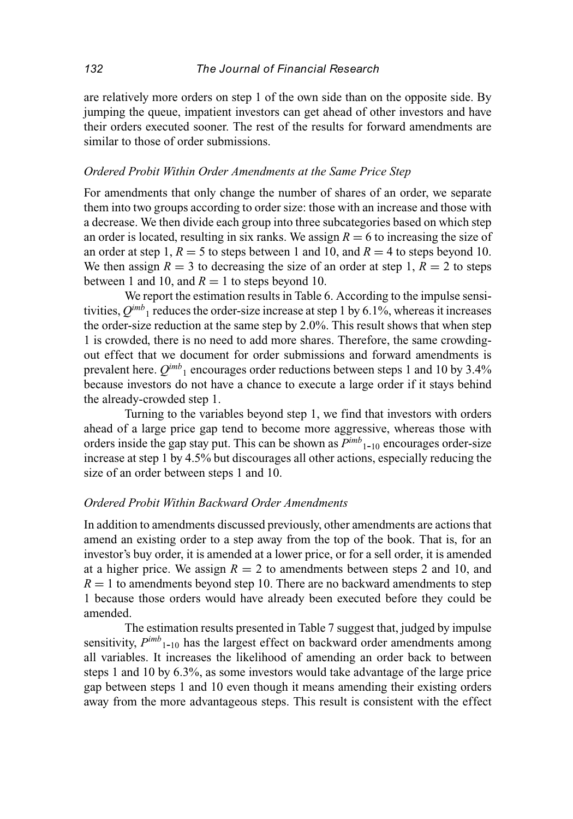are relatively more orders on step 1 of the own side than on the opposite side. By jumping the queue, impatient investors can get ahead of other investors and have their orders executed sooner. The rest of the results for forward amendments are similar to those of order submissions.

## *Ordered Probit Within Order Amendments at the Same Price Step*

For amendments that only change the number of shares of an order, we separate them into two groups according to order size: those with an increase and those with a decrease. We then divide each group into three subcategories based on which step an order is located, resulting in six ranks. We assign  $R = 6$  to increasing the size of an order at step 1,  $R = 5$  to steps between 1 and 10, and  $R = 4$  to steps beyond 10. We then assign  $R = 3$  to decreasing the size of an order at step 1,  $R = 2$  to steps between 1 and 10, and  $R = 1$  to steps beyond 10.

We report the estimation results in Table 6. According to the impulse sensitivities,  $\mathcal{Q}^{imb}{}_{1}$  reduces the order-size increase at step 1 by 6.1%, whereas it increases the order-size reduction at the same step by 2.0%. This result shows that when step 1 is crowded, there is no need to add more shares. Therefore, the same crowdingout effect that we document for order submissions and forward amendments is prevalent here. *Qimb* <sup>1</sup> encourages order reductions between steps 1 and 10 by 3.4% because investors do not have a chance to execute a large order if it stays behind the already-crowded step 1.

Turning to the variables beyond step 1, we find that investors with orders ahead of a large price gap tend to become more aggressive, whereas those with orders inside the gap stay put. This can be shown as *Pimb* 1-10 encourages order-size increase at step 1 by 4.5% but discourages all other actions, especially reducing the size of an order between steps 1 and 10.

## *Ordered Probit Within Backward Order Amendments*

In addition to amendments discussed previously, other amendments are actions that amend an existing order to a step away from the top of the book. That is, for an investor's buy order, it is amended at a lower price, or for a sell order, it is amended at a higher price. We assign  $R = 2$  to amendments between steps 2 and 10, and  $R = 1$  to amendments beyond step 10. There are no backward amendments to step 1 because those orders would have already been executed before they could be amended.

The estimation results presented in Table 7 suggest that, judged by impulse sensitivity, *Pimb* 1-10 has the largest effect on backward order amendments among all variables. It increases the likelihood of amending an order back to between steps 1 and 10 by 6.3%, as some investors would take advantage of the large price gap between steps 1 and 10 even though it means amending their existing orders away from the more advantageous steps. This result is consistent with the effect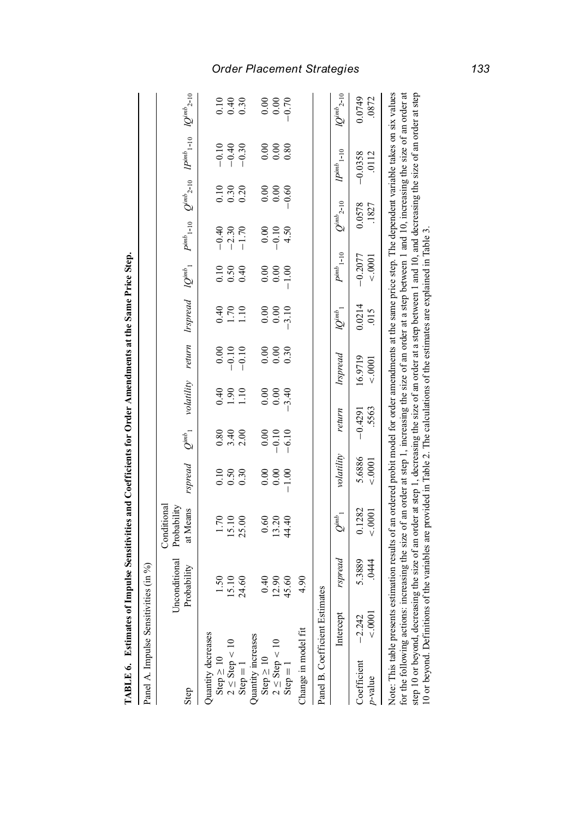| described the control of the statement of the control material control material conditions of the community of the condition of the community of the condition of the community of the community of the community of the commu                                                                                                                                                                       |                  |                              |                                        |                                |              |                |                                             |                                                                                                                                                              |                                             |                           |                                             |                                             |                                             |
|------------------------------------------------------------------------------------------------------------------------------------------------------------------------------------------------------------------------------------------------------------------------------------------------------------------------------------------------------------------------------------------------------|------------------|------------------------------|----------------------------------------|--------------------------------|--------------|----------------|---------------------------------------------|--------------------------------------------------------------------------------------------------------------------------------------------------------------|---------------------------------------------|---------------------------|---------------------------------------------|---------------------------------------------|---------------------------------------------|
| Panel A. Impulse Sensitivities (in %)                                                                                                                                                                                                                                                                                                                                                                |                  |                              |                                        |                                |              |                |                                             |                                                                                                                                                              |                                             |                           |                                             |                                             |                                             |
| Step                                                                                                                                                                                                                                                                                                                                                                                                 |                  | Unconditional<br>Probability | Conditional<br>Probability<br>at Means | rspread $Q^{imb}$ <sub>1</sub> |              |                |                                             | volatility return Irspread $IQ^{imb}$ <sub>1</sub> $P^{imb}$ <sub>1-10</sub> $Q^{imb}$ <sub>2-10</sub> $IP^{imb}$ <sub>1-10</sub> $IQ^{imb}$ <sub>2-10</sub> |                                             |                           |                                             |                                             |                                             |
| Quantity decreases<br>Step $\geq 10$<br>$2 \leq$ Step $< 10$<br>Step = 1                                                                                                                                                                                                                                                                                                                             |                  | 1.50<br>15.10                | 1.70<br>15.10                          | 0.10<br>0.50                   | 0.80<br>3.40 | $0.40$<br>1.90 | $\begin{matrix} 0.00 \\ -0.10 \end{matrix}$ | $0.40$<br>1.70                                                                                                                                               | $\begin{array}{c} 0.10 \\ 0.50 \end{array}$ | $-0.40$<br>$-2.30$        | $\begin{array}{c} 0.10 \\ 0.30 \end{array}$ | $-0.10$<br>$-0.40$                          | 0.10<br>0.40                                |
|                                                                                                                                                                                                                                                                                                                                                                                                      |                  | 24.60                        | 25.00                                  | 0.30                           | 2.00         | 1.10           | $-0.10$                                     | 1.10                                                                                                                                                         | 0.40                                        | $-1.70$                   | 0.20                                        | $-0.30$                                     | 0.30                                        |
| Quantity increases<br>Step $\geq 10$<br>$2 \leq$ Step $\lt 10$<br>Step $\lt 10$                                                                                                                                                                                                                                                                                                                      |                  | 0.40                         | 0.60                                   | 0.00                           | 0.00         | 0.00           | 0.00                                        | 0.00                                                                                                                                                         | 0.00                                        | 0.10                      | 0.00                                        |                                             | $\begin{array}{c} 0.00 \\ 0.00 \end{array}$ |
|                                                                                                                                                                                                                                                                                                                                                                                                      |                  | 12.90                        | 13.20                                  | 0.00                           | $-0.10$      | $0.00\,$       | 0.00                                        | $0.00\,$                                                                                                                                                     | 0.00                                        |                           | 0.00                                        | $\begin{array}{c} 0.00 \\ 0.00 \end{array}$ |                                             |
| Change in model fit                                                                                                                                                                                                                                                                                                                                                                                  |                  | 45.60<br>4.90                | 44.40                                  | $-1.00$                        | $-6.10$      | $-3.40$        | 0.30                                        | $-3.10$                                                                                                                                                      | $-1.00$                                     | 4.50                      | $-0.60$                                     | 0.80                                        | $-0.70$                                     |
| Panel B. Coefficient Estimates                                                                                                                                                                                                                                                                                                                                                                       |                  |                              |                                        |                                |              |                |                                             |                                                                                                                                                              |                                             |                           |                                             |                                             |                                             |
|                                                                                                                                                                                                                                                                                                                                                                                                      | Intercept        | rspread                      | $Q^{imb}\,{}_{\scriptscriptstyle 1}$   | volatility                     |              | return         | Irspread                                    | $\ensuremath{\mathit{IQ}}^{\mathit{imb}}$ ,                                                                                                                  | $P^{imb}{}_{\rm 1-10}$                      | $Q^{imb}$ <sub>2-10</sub> |                                             | $I\hspace{-1.6mm}P^{imb}{}_{1\text{--}10}$  | $lQ^{imb}$ <sub>2-10</sub>                  |
| Coefficient<br>p-value                                                                                                                                                                                                                                                                                                                                                                               | 0001<br>$-2.242$ | 5.3889<br>.0444              | 0.1282<br>0001                         | 5.6886<br>0001                 | $-0.4291$    | .5563          | 16.9719<br>0001                             | 0.0214<br>015                                                                                                                                                | $-0.2077$<br>0001                           | 0.0578                    | .1827                                       | .0112<br>$-0.0358$                          | 0.0749<br>.0872                             |
| Note: This table presents estimation results of an ordered probit model for order amendments at the same price step. The dependent variable takes on six values<br>for the following actions: increasing the size of an order at step 1, increasing the size of an order at a step between 1 and 10, increasing the size of an order at<br>step 10 or beyond, decreasing the size of an order at ste |                  |                              |                                        |                                |              |                |                                             |                                                                                                                                                              |                                             |                           |                                             |                                             |                                             |

Estimates of Impulse Sensitivities and Coefficients for Order Amendments at the Same Price Step. TABLE 6. Estimates of Impulse Sensitivities and Coefficients for Order Amendments at the Same Price Step. TABLE 6.

# *Order Placement Strategies 133*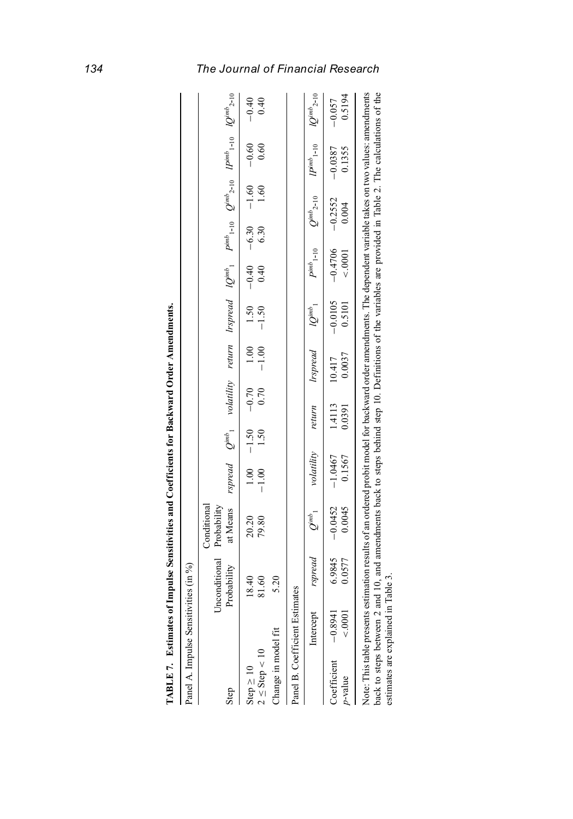| TABLE 7. Estimates of In                                      |                   |                                                                                                                                                                                                                                                                                                                                         | mpulse Sensitivities and Coefficients for Backward Order Amendments. |                     |                  |                  |                                                                                                                                                                                             |      |                    |       |                                                                       |                    |
|---------------------------------------------------------------|-------------------|-----------------------------------------------------------------------------------------------------------------------------------------------------------------------------------------------------------------------------------------------------------------------------------------------------------------------------------------|----------------------------------------------------------------------|---------------------|------------------|------------------|---------------------------------------------------------------------------------------------------------------------------------------------------------------------------------------------|------|--------------------|-------|-----------------------------------------------------------------------|--------------------|
| Panel A. Impulse Sensitivit                                   |                   | ies (in %)                                                                                                                                                                                                                                                                                                                              |                                                                      |                     |                  |                  |                                                                                                                                                                                             |      |                    |       |                                                                       |                    |
| Step                                                          |                   | Unconditional<br>Probability                                                                                                                                                                                                                                                                                                            | at Means<br>Probability<br>Conditional                               |                     |                  |                  | rspread $Q^{imb}$ <sub>1</sub> volatility return Irspread $lQ^{imb}$ <sub>1</sub> $P^{imb}$ <sub>1-10</sub> $Q^{imb}$ <sub>2-10</sub> $lP^{imb}$ <sub>1-10</sub> $lQ^{imb}$ <sub>2-10</sub> |      |                    |       |                                                                       |                    |
| Change in model fit<br>$2 \leq$ Step $< 10$<br>Step $\geq 10$ |                   | 18.40<br>81.60<br>5.20                                                                                                                                                                                                                                                                                                                  | 20.20<br>79.80                                                       | $-1.00$             |                  |                  | $1.00 -1.50 -1.50 -1.00 -1.00 -1.50 -0.40 -6.30 -1.60 -1.60$<br>$-1.50 -1.50 -1.50 -1.50 -1.50 -0.60 -0.60 -1.60 -1.60$                                                                     |      |                    |       |                                                                       | $-0.40$<br>0.40    |
| Panel B. Coefficient Estimates                                |                   |                                                                                                                                                                                                                                                                                                                                         |                                                                      |                     |                  |                  |                                                                                                                                                                                             |      |                    |       |                                                                       |                    |
|                                                               | Intercept         | rspread                                                                                                                                                                                                                                                                                                                                 | $\mathcal{Q}^{mb}{}_{1}$                                             | volatility          | return           |                  | <i>Irspread</i> $lQ^{imb}$ <sub>1</sub>                                                                                                                                                     |      |                    |       | $P^{imb}_{1-10}$ $Q^{imb}_{2-10}$ $IP^{imb}_{1-10}$ $IQ^{imb}_{2-10}$ |                    |
| Coefficient<br>$p$ -value                                     | $-0.8941$<br>0001 | 6.9845<br>0.0577                                                                                                                                                                                                                                                                                                                        | 0.0045<br>$-0.0452$                                                  | 0.1567<br>$-1.0467$ | 1.4113<br>0.0391 | 0.0037<br>10.417 | 0.5101<br>$-0.0105$                                                                                                                                                                         | 0001 | $-0.4706 - 0.2552$ | 0.004 | 0.1355<br>$-0.0387$                                                   | 0.5194<br>$-0.057$ |
| estimates are explained in T                                  |                   | back to steps between 2 and 10, and amendments back to steps behind step 10. Definitions of the variables are provided in Table 2. The calculations of the<br>Note: This table presents estimation results of an ordered probit model for backward order amendments. The dependent variable takes on two values: amendments<br>Table 3. |                                                                      |                     |                  |                  |                                                                                                                                                                                             |      |                    |       |                                                                       |                    |

TABLE 7. Estimates of Impulse Sensitivities and Coefficients for Backward Order Amendments.

# *134 The Journal of Financial Research*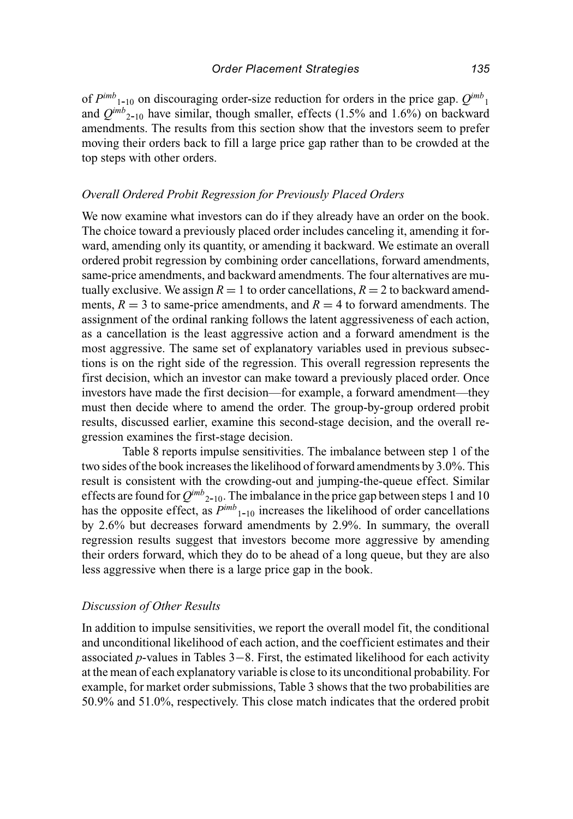of  $P^{imb}$ <sub>1-10</sub> on discouraging order-size reduction for orders in the price gap.  $Q^{imb}$ <sub>1</sub> and  $Q^{imb}$ <sub>2-10</sub> have similar, though smaller, effects (1.5% and 1.6%) on backward amendments. The results from this section show that the investors seem to prefer moving their orders back to fill a large price gap rather than to be crowded at the top steps with other orders.

## *Overall Ordered Probit Regression for Previously Placed Orders*

We now examine what investors can do if they already have an order on the book. The choice toward a previously placed order includes canceling it, amending it forward, amending only its quantity, or amending it backward. We estimate an overall ordered probit regression by combining order cancellations, forward amendments, same-price amendments, and backward amendments. The four alternatives are mutually exclusive. We assign  $R = 1$  to order cancellations,  $R = 2$  to backward amendments,  $R = 3$  to same-price amendments, and  $R = 4$  to forward amendments. The assignment of the ordinal ranking follows the latent aggressiveness of each action, as a cancellation is the least aggressive action and a forward amendment is the most aggressive. The same set of explanatory variables used in previous subsections is on the right side of the regression. This overall regression represents the first decision, which an investor can make toward a previously placed order. Once investors have made the first decision—for example, a forward amendment—they must then decide where to amend the order. The group-by-group ordered probit results, discussed earlier, examine this second-stage decision, and the overall regression examines the first-stage decision.

Table 8 reports impulse sensitivities. The imbalance between step 1 of the two sides of the book increases the likelihood of forward amendments by 3.0%. This result is consistent with the crowding-out and jumping-the-queue effect. Similar effects are found for *Qimb* 2-10. The imbalance in the price gap between steps 1 and 10 has the opposite effect, as *Pimb* 1-10 increases the likelihood of order cancellations by 2.6% but decreases forward amendments by 2.9%. In summary, the overall regression results suggest that investors become more aggressive by amending their orders forward, which they do to be ahead of a long queue, but they are also less aggressive when there is a large price gap in the book.

## *Discussion of Other Results*

In addition to impulse sensitivities, we report the overall model fit, the conditional and unconditional likelihood of each action, and the coefficient estimates and their associated *p*-values in Tables 3−8. First, the estimated likelihood for each activity at the mean of each explanatory variable is close to its unconditional probability. For example, for market order submissions, Table 3 shows that the two probabilities are 50.9% and 51.0%, respectively. This close match indicates that the ordered probit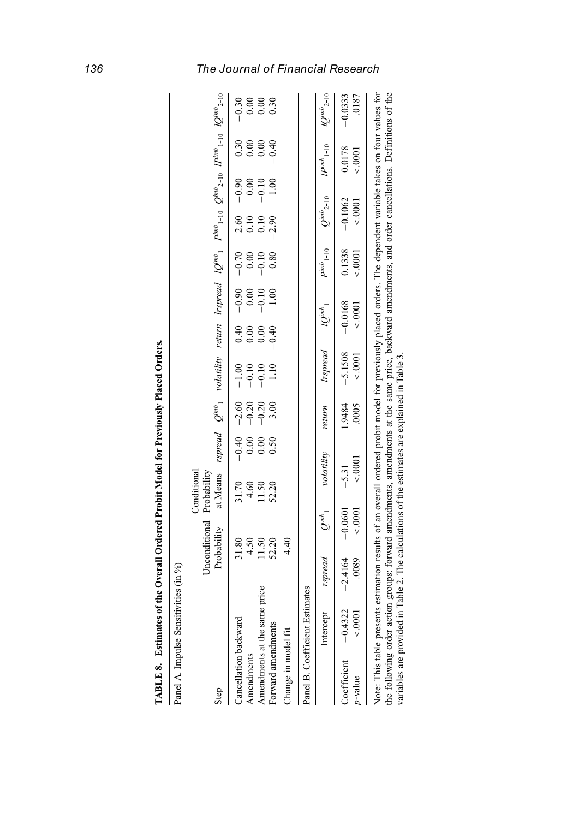| TABLE 8. Estimates of the Overall Ordered Probit Model for Previously Placed Orders.                                                                                                                                                                                                          |                         |                                                                                                                            |                       |                                        |                 |                    |                                                                                                                                                                                             |                                             |                   |                        |                                             |                 |                                            |                                             |
|-----------------------------------------------------------------------------------------------------------------------------------------------------------------------------------------------------------------------------------------------------------------------------------------------|-------------------------|----------------------------------------------------------------------------------------------------------------------------|-----------------------|----------------------------------------|-----------------|--------------------|---------------------------------------------------------------------------------------------------------------------------------------------------------------------------------------------|---------------------------------------------|-------------------|------------------------|---------------------------------------------|-----------------|--------------------------------------------|---------------------------------------------|
| Panel A. Impulse Sensitivit                                                                                                                                                                                                                                                                   |                         | ties (in $\%$ )                                                                                                            |                       |                                        |                 |                    |                                                                                                                                                                                             |                                             |                   |                        |                                             |                 |                                            |                                             |
| Step                                                                                                                                                                                                                                                                                          |                         | Unconditional<br>Probability                                                                                               |                       | at Means<br>Conditional<br>Probability |                 |                    | rspread $Q^{imb}$ <sub>1</sub> volatility return lispread $IQ^{imb}$ <sub>1</sub> $P^{imb}$ <sub>1-10</sub> $Q^{imb}$ <sub>2-10</sub> $IP^{imb}$ <sub>2-10</sub> $IQ^{imb}$ <sub>2-10</sub> |                                             |                   |                        |                                             |                 |                                            |                                             |
| Cancellation backward<br>Amendments                                                                                                                                                                                                                                                           |                         | 31.80<br>4.50                                                                                                              |                       | 31.70<br>4.60                          | $-0.40$<br>0.00 | $-2.60$<br>$-0.20$ | $-1.00$                                                                                                                                                                                     | 0.40                                        | $-0.90$<br>0.00   | $-0.70$<br>0.00        | 2.60                                        | $-0.90$<br>0.00 | 0.30                                       | $-0.30$                                     |
| Amendments at the same price                                                                                                                                                                                                                                                                  |                         | 11.50                                                                                                                      |                       | 11.50                                  | 0.00            | $-0.20$            | $-0.10$<br>$-0.10$                                                                                                                                                                          | $\begin{array}{c} 0.00 \\ 0.00 \end{array}$ | $-0.10$           | $-0.10$                | $\begin{array}{c} 0.10 \\ 0.10 \end{array}$ | $-0.10$         |                                            | $\begin{array}{c} 0.00 \\ 0.00 \end{array}$ |
| Forward amendments<br>Change in model fit                                                                                                                                                                                                                                                     |                         | 52.20<br>4.40                                                                                                              |                       | 52.20                                  | 0.50            | 3.00               | 1.10                                                                                                                                                                                        | $-0.40$                                     | $1.00\,$          | 0.80                   | $-2.90$                                     | 1.00            | $-0.40$                                    | 0.30                                        |
| Panel B. Coefficient Estimates                                                                                                                                                                                                                                                                |                         |                                                                                                                            |                       |                                        |                 |                    |                                                                                                                                                                                             |                                             |                   |                        |                                             |                 |                                            |                                             |
|                                                                                                                                                                                                                                                                                               | Intercept               | rspread                                                                                                                    | $\mathcal{Q}^{imb}$ , | volatility                             |                 | return             | <i>Irspread</i>                                                                                                                                                                             |                                             | $lQ^{imb}{}_1$    | $P^{imb}{}_{\rm 1-10}$ | $Q^{imb}$ <sub>2-10</sub>                   |                 | $I\hspace{-1.6mm}P^{imb}{}_{1\text{--}10}$ | $lQ^{imb}$ $_{2-10}$                        |
| Coefficient<br>$p$ -value                                                                                                                                                                                                                                                                     | $-0.4322$<br>$\sim 000$ | $-2.4164$<br>.0890                                                                                                         | $-0.0601$<br>0001     | 0001<br>$-5.31$                        |                 | 1.9484<br>.0005    | $-5.1508$<br>0001                                                                                                                                                                           |                                             | $-0.0168$<br>0001 | 0.1338<br>0001         | $-0.1062$<br>0001                           |                 | 0.0178<br>0001                             | $-0.0333$<br>.0187                          |
| Note: This table presents estimation results of an overall ordered probit model for previously placed orders. The dependent variable takes on four values for<br>variables are provided in Table 2. The calculations of the estimates are explained in Table 3.<br>the following order action |                         | groups: forward amendments, amendments at the same price, backward amendments, and order cancellations. Definitions of the |                       |                                        |                 |                    |                                                                                                                                                                                             |                                             |                   |                        |                                             |                 |                                            |                                             |

TABLE 8. Estimates of the Overall Ordered Probit Model for Previously Placed Orders.

# *136 The Journal of Financial Research*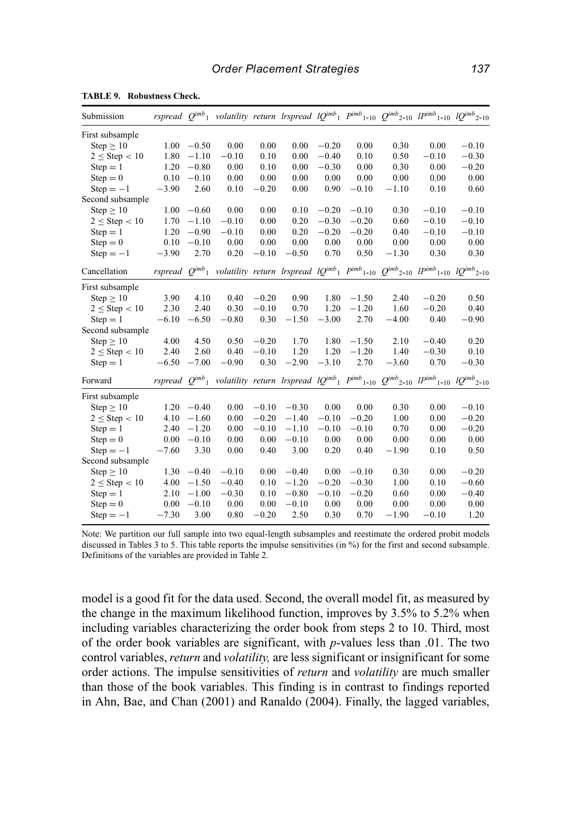| Submission           |          |              |         |         |         |         |         |         | rspread $Q^{imb}$ <sub>1</sub> volatility return lrspread $lQ^{imb}$ <sub>1</sub> $P^{imb}$ <sub>1-10</sub> $Q^{imb}$ <sub>2-10</sub> $lP^{imb}$ <sub>1-10</sub> $lQ^{imb}$ <sub>2-10</sub> |         |
|----------------------|----------|--------------|---------|---------|---------|---------|---------|---------|---------------------------------------------------------------------------------------------------------------------------------------------------------------------------------------------|---------|
| First subsample      |          |              |         |         |         |         |         |         |                                                                                                                                                                                             |         |
| Step $\geq 10$       | 1.00     | $-0.50$      | 0.00    | 0.00    | 0.00    | $-0.20$ | 0.00    | 0.30    | 0.00                                                                                                                                                                                        | $-0.10$ |
| $2 \leq$ Step $< 10$ | 1.80     | $-1.10$      | $-0.10$ | 0.10    | 0.00    | $-0.40$ | 0.10    | 0.50    | $-0.10$                                                                                                                                                                                     | $-0.30$ |
| $Step = 1$           | 1.20     | $-0.80$      | 0.00    | 0.10    | 0.00    | $-0.30$ | 0.00    | 0.30    | 0.00                                                                                                                                                                                        | $-0.20$ |
| $Step = 0$           | 0.10     | $-0.10$      | 0.00    | 0.00    | 0.00    | 0.00    | 0.00    | 0.00    | 0.00                                                                                                                                                                                        | 0.00    |
| $Step = -1$          | $-3.90$  | 2.60         | 0.10    | $-0.20$ | 0.00    | 0.90    | $-0.10$ | $-1.10$ | 0.10                                                                                                                                                                                        | 0.60    |
| Second subsample     |          |              |         |         |         |         |         |         |                                                                                                                                                                                             |         |
| Step $\geq 10$       | 1.00     | $-0.60$      | 0.00    | 0.00    | 0.10    | $-0.20$ | $-0.10$ | 0.30    | $-0.10$                                                                                                                                                                                     | $-0.10$ |
| $2 \leq$ Step $< 10$ | 1.70     | $-1.10$      | $-0.10$ | 0.00    | 0.20    | $-0.30$ | $-0.20$ | 0.60    | $-0.10$                                                                                                                                                                                     | $-0.10$ |
| $Step = 1$           | 1.20     | $-0.90$      | $-0.10$ | 0.00    | 0.20    | $-0.20$ | $-0.20$ | 0.40    | $-0.10$                                                                                                                                                                                     | $-0.10$ |
| $Step = 0$           | 0.10     | $-0.10$      | 0.00    | 0.00    | 0.00    | 0.00    | 0.00    | 0.00    | 0.00                                                                                                                                                                                        | 0.00    |
| $Step = -1$          | $-3.90$  | 2.70         | 0.20    | $-0.10$ | $-0.50$ | 0.70    | 0.50    | $-1.30$ | 0.30                                                                                                                                                                                        | 0.30    |
| Cancellation         |          |              |         |         |         |         |         |         | rspread $Q^{imb}$ <sub>1</sub> volatility return lrspread $lQ^{imb}$ <sub>1</sub> $P^{imb}$ <sub>1-10</sub> $Q^{imb}$ <sub>2-10</sub> $lP^{imb}$ <sub>1-10</sub> $lQ^{imb}$ <sub>2-10</sub> |         |
| First subsample      |          |              |         |         |         |         |         |         |                                                                                                                                                                                             |         |
| Step > 10            | 3.90     | 4.10         | 0.40    | $-0.20$ | 0.90    | 1.80    | $-1.50$ | 2.40    | $-0.20$                                                                                                                                                                                     | 0.50    |
| $2 \leq$ Step $< 10$ | 2.30     | 2.40         | 0.30    | $-0.10$ | 0.70    | 1.20    | $-1.20$ | 1.60    | $-0.20$                                                                                                                                                                                     | 0.40    |
| $Step = 1$           | $-6.10$  | $-6.50$      | $-0.80$ | 0.30    | $-1.50$ | $-3.00$ | 2.70    | $-4.00$ | 0.40                                                                                                                                                                                        | $-0.90$ |
| Second subsample     |          |              |         |         |         |         |         |         |                                                                                                                                                                                             |         |
| Step $\geq 10$       | 4.00     | 4.50         | 0.50    | $-0.20$ | 1.70    | 1.80    | $-1.50$ | 2.10    | $-0.40$                                                                                                                                                                                     | 0.20    |
| $2 \leq$ Step $< 10$ | 2.40     | 2.60         | 0.40    | $-0.10$ | 1.20    | 1.20    | $-1.20$ | 1.40    | $-0.30$                                                                                                                                                                                     | 0.10    |
| $Step = 1$           | $-6.50$  | $-7.00$      | $-0.90$ | 0.30    | $-2.90$ | $-3.10$ | 2.70    | $-3.60$ | 0.70                                                                                                                                                                                        | $-0.30$ |
| Forward              |          |              |         |         |         |         |         |         | rspread $Q^{imb}$ <sub>1</sub> volatility return lrspread $lQ^{imb}$ <sub>1</sub> $P^{imb}$ <sub>1-10</sub> $Q^{imb}$ <sub>2-10</sub> $lP^{imb}$ <sub>1-10</sub> $lQ^{imb}$ <sub>2-10</sub> |         |
| First subsample      |          |              |         |         |         |         |         |         |                                                                                                                                                                                             |         |
| Step $\geq 10$       | 1.20     | $-0.40$      | 0.00    | $-0.10$ | $-0.30$ | 0.00    | 0.00    | 0.30    | 0.00                                                                                                                                                                                        | $-0.10$ |
| $2 \leq$ Step $< 10$ | 4.10     | $-1.60$      | 0.00    | $-0.20$ | $-1.40$ | $-0.10$ | $-0.20$ | 1.00    | 0.00                                                                                                                                                                                        | $-0.20$ |
| $Step = 1$           | 2.40     | $-1.20$      | 0.00    | $-0.10$ | $-1.10$ | $-0.10$ | $-0.10$ | 0.70    | 0.00                                                                                                                                                                                        | $-0.20$ |
| $Step = 0$           | $0.00\,$ | $-0.10$      | 0.00    | 0.00    | $-0.10$ | 0.00    | 0.00    | 0.00    | 0.00                                                                                                                                                                                        | 0.00    |
| $Step = -1$          | $-7.60$  | 3.30         | 0.00    | 0.40    | 3.00    | 0.20    | 0.40    | $-1.90$ | 0.10                                                                                                                                                                                        | 0.50    |
| Second subsample     |          |              |         |         |         |         |         |         |                                                                                                                                                                                             |         |
| Step $\geq 10$       |          | $1.30 -0.40$ | $-0.10$ | 0.00    | $-0.40$ | 0.00    | $-0.10$ | 0.30    | 0.00                                                                                                                                                                                        | $-0.20$ |
| $2 \leq$ Step $< 10$ | 4.00     | $-1.50$      | $-0.40$ | 0.10    | $-1.20$ | $-0.20$ | $-0.30$ | 1.00    | 0.10                                                                                                                                                                                        | $-0.60$ |
| $Step = 1$           | 2.10     | $-1.00$      | $-0.30$ | 0.10    | $-0.80$ | $-0.10$ | $-0.20$ | 0.60    | 0.00                                                                                                                                                                                        | $-0.40$ |
| $Step = 0$           | 0.00     | $-0.10$      | 0.00    | 0.00    | $-0.10$ | 0.00    | 0.00    | 0.00    | 0.00                                                                                                                                                                                        | 0.00    |
| $Step = -1$          | $-7.30$  | 3.00         | 0.80    | $-0.20$ | 2.50    | 0.30    | 0.70    | $-1.90$ | $-0.10$                                                                                                                                                                                     | 1.20    |

**TABLE 9. Robustness Check.**

Note: We partition our full sample into two equal-length subsamples and reestimate the ordered probit models discussed in Tables 3 to 5. This table reports the impulse sensitivities (in %) for the first and second subsample. Definitions of the variables are provided in Table 2.

model is a good fit for the data used. Second, the overall model fit, as measured by the change in the maximum likelihood function, improves by 3.5% to 5.2% when including variables characterizing the order book from steps 2 to 10. Third, most of the order book variables are significant, with *p*-values less than .01. The two control variables, *return* and *volatility,* are less significant or insignificant for some order actions. The impulse sensitivities of *return* and *volatility* are much smaller than those of the book variables. This finding is in contrast to findings reported in Ahn, Bae, and Chan (2001) and Ranaldo (2004). Finally, the lagged variables,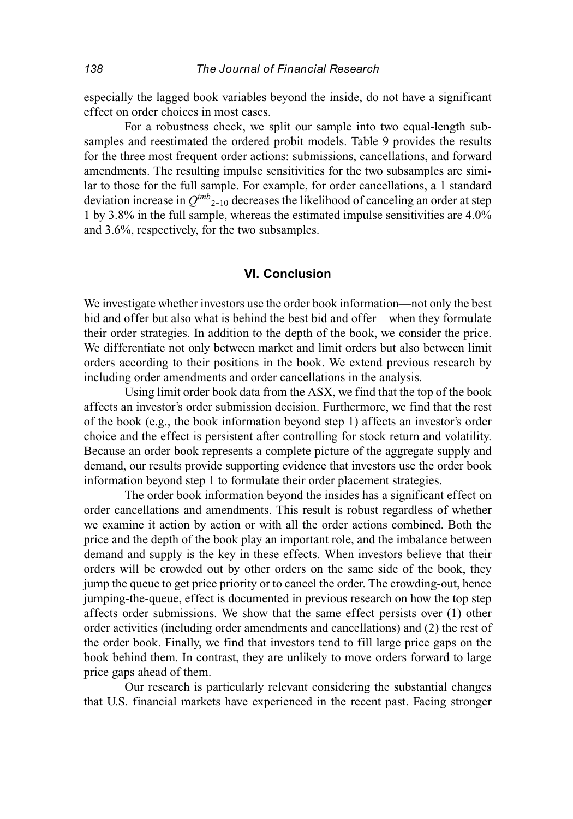especially the lagged book variables beyond the inside, do not have a significant effect on order choices in most cases.

For a robustness check, we split our sample into two equal-length subsamples and reestimated the ordered probit models. Table 9 provides the results for the three most frequent order actions: submissions, cancellations, and forward amendments. The resulting impulse sensitivities for the two subsamples are similar to those for the full sample. For example, for order cancellations, a 1 standard deviation increase in *Qimb* 2-10 decreases the likelihood of canceling an order at step 1 by 3.8% in the full sample, whereas the estimated impulse sensitivities are 4.0% and 3.6%, respectively, for the two subsamples.

#### **VI. Conclusion**

We investigate whether investors use the order book information—not only the best bid and offer but also what is behind the best bid and offer—when they formulate their order strategies. In addition to the depth of the book, we consider the price. We differentiate not only between market and limit orders but also between limit orders according to their positions in the book. We extend previous research by including order amendments and order cancellations in the analysis.

Using limit order book data from the ASX, we find that the top of the book affects an investor's order submission decision. Furthermore, we find that the rest of the book (e.g., the book information beyond step 1) affects an investor's order choice and the effect is persistent after controlling for stock return and volatility. Because an order book represents a complete picture of the aggregate supply and demand, our results provide supporting evidence that investors use the order book information beyond step 1 to formulate their order placement strategies.

The order book information beyond the insides has a significant effect on order cancellations and amendments. This result is robust regardless of whether we examine it action by action or with all the order actions combined. Both the price and the depth of the book play an important role, and the imbalance between demand and supply is the key in these effects. When investors believe that their orders will be crowded out by other orders on the same side of the book, they jump the queue to get price priority or to cancel the order. The crowding-out, hence jumping-the-queue, effect is documented in previous research on how the top step affects order submissions. We show that the same effect persists over (1) other order activities (including order amendments and cancellations) and (2) the rest of the order book. Finally, we find that investors tend to fill large price gaps on the book behind them. In contrast, they are unlikely to move orders forward to large price gaps ahead of them.

Our research is particularly relevant considering the substantial changes that U.S. financial markets have experienced in the recent past. Facing stronger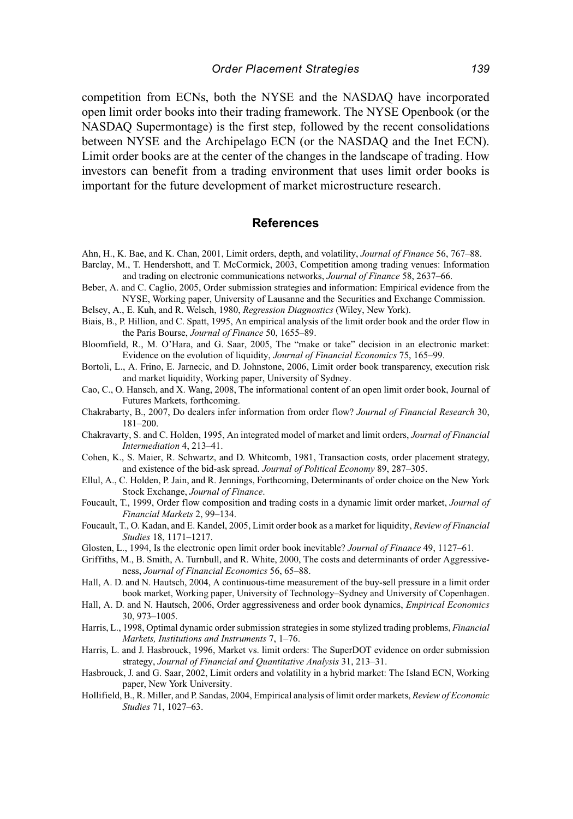competition from ECNs, both the NYSE and the NASDAQ have incorporated open limit order books into their trading framework. The NYSE Openbook (or the NASDAQ Supermontage) is the first step, followed by the recent consolidations between NYSE and the Archipelago ECN (or the NASDAQ and the Inet ECN). Limit order books are at the center of the changes in the landscape of trading. How investors can benefit from a trading environment that uses limit order books is important for the future development of market microstructure research.

## **References**

- Ahn, H., K. Bae, and K. Chan, 2001, Limit orders, depth, and volatility, *Journal of Finance* 56, 767–88. Barclay, M., T. Hendershott, and T. McCormick, 2003, Competition among trading venues: Information
- and trading on electronic communications networks, *Journal of Finance* 58, 2637–66. Beber, A. and C. Caglio, 2005, Order submission strategies and information: Empirical evidence from the
- NYSE, Working paper, University of Lausanne and the Securities and Exchange Commission.
- Belsey, A., E. Kuh, and R. Welsch, 1980, *Regression Diagnostics* (Wiley, New York).
- Biais, B., P. Hillion, and C. Spatt, 1995, An empirical analysis of the limit order book and the order flow in the Paris Bourse, *Journal of Finance* 50, 1655–89.
- Bloomfield, R., M. O'Hara, and G. Saar, 2005, The "make or take" decision in an electronic market: Evidence on the evolution of liquidity, *Journal of Financial Economics* 75, 165–99.
- Bortoli, L., A. Frino, E. Jarnecic, and D. Johnstone, 2006, Limit order book transparency, execution risk and market liquidity, Working paper, University of Sydney.
- Cao, C., O. Hansch, and X. Wang, 2008, The informational content of an open limit order book, Journal of Futures Markets, forthcoming.
- Chakrabarty, B., 2007, Do dealers infer information from order flow? *Journal of Financial Research* 30, 181–200.
- Chakravarty, S. and C. Holden, 1995, An integrated model of market and limit orders, *Journal of Financial Intermediation* 4, 213–41.
- Cohen, K., S. Maier, R. Schwartz, and D. Whitcomb, 1981, Transaction costs, order placement strategy, and existence of the bid-ask spread. *Journal of Political Economy* 89, 287–305.
- Ellul, A., C. Holden, P. Jain, and R. Jennings, Forthcoming, Determinants of order choice on the New York Stock Exchange, *Journal of Finance*.
- Foucault, T., 1999, Order flow composition and trading costs in a dynamic limit order market, *Journal of Financial Markets* 2, 99–134.
- Foucault, T., O. Kadan, and E. Kandel, 2005, Limit order book as a market for liquidity, *Review of Financial Studies* 18, 1171–1217.
- Glosten, L., 1994, Is the electronic open limit order book inevitable? *Journal of Finance* 49, 1127–61.
- Griffiths, M., B. Smith, A. Turnbull, and R. White, 2000, The costs and determinants of order Aggressiveness, *Journal of Financial Economics* 56, 65–88.
- Hall, A. D. and N. Hautsch, 2004, A continuous-time measurement of the buy-sell pressure in a limit order book market, Working paper, University of Technology–Sydney and University of Copenhagen.
- Hall, A. D. and N. Hautsch, 2006, Order aggressiveness and order book dynamics, *Empirical Economics* 30, 973–1005.
- Harris, L., 1998, Optimal dynamic order submission strategies in some stylized trading problems, *Financial Markets, Institutions and Instruments* 7, 1–76.
- Harris, L. and J. Hasbrouck, 1996, Market vs. limit orders: The SuperDOT evidence on order submission strategy, *Journal of Financial and Quantitative Analysis* 31, 213–31.
- Hasbrouck, J. and G. Saar, 2002, Limit orders and volatility in a hybrid market: The Island ECN, Working paper, New York University.
- Hollifield, B., R. Miller, and P. Sandas, 2004, Empirical analysis of limit order markets, *Review of Economic Studies* 71, 1027–63.